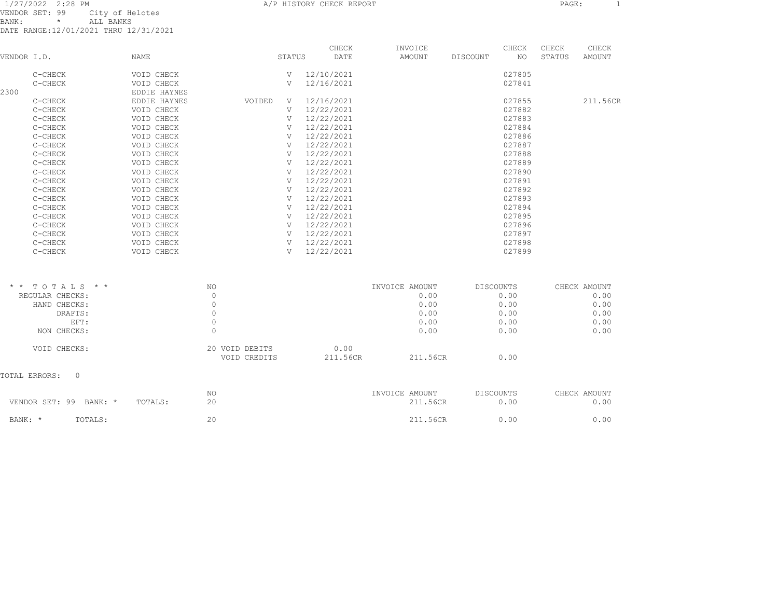1/27/2022 2:28 PM A/P HISTORY CHECK REPORT PAGE: 1 VENDOR SET: 99 City of Helotes BANK: \* ALL BANKS DATE RANGE:12/01/2021 THRU 12/31/2021

| VENDOR I.D.     |                               | <b>NAME</b>  |                                | STATUS         | CHECK<br>DATE    | INVOICE<br>AMOUNT | DISCOUNT         | CHECK<br>NO. | CHECK<br>STATUS | CHECK<br>AMOUNT |
|-----------------|-------------------------------|--------------|--------------------------------|----------------|------------------|-------------------|------------------|--------------|-----------------|-----------------|
|                 | C-CHECK                       | VOID CHECK   |                                | $\overline{V}$ | 12/10/2021       |                   |                  | 027805       |                 |                 |
|                 | C-CHECK                       | VOID CHECK   |                                | V              | 12/16/2021       |                   |                  | 027841       |                 |                 |
| 2300            |                               | EDDIE HAYNES |                                |                |                  |                   |                  |              |                 |                 |
|                 | C-CHECK                       | EDDIE HAYNES | VOIDED                         | V              | 12/16/2021       |                   |                  | 027855       |                 | 211.56CR        |
|                 | C-CHECK                       | VOID CHECK   |                                | V              | 12/22/2021       |                   |                  | 027882       |                 |                 |
|                 | C-CHECK                       | VOID CHECK   |                                | V              | 12/22/2021       |                   |                  | 027883       |                 |                 |
|                 | C-CHECK                       | VOID CHECK   |                                | V              | 12/22/2021       |                   |                  | 027884       |                 |                 |
|                 | C-CHECK                       | VOID CHECK   |                                | V              | 12/22/2021       |                   |                  | 027886       |                 |                 |
|                 | C-CHECK                       | VOID CHECK   |                                | V              | 12/22/2021       |                   |                  | 027887       |                 |                 |
|                 | C-CHECK                       | VOID CHECK   |                                | V              | 12/22/2021       |                   |                  | 027888       |                 |                 |
|                 | C-CHECK                       | VOID CHECK   |                                | V              | 12/22/2021       |                   |                  | 027889       |                 |                 |
|                 | C-CHECK                       | VOID CHECK   |                                | V              | 12/22/2021       |                   |                  | 027890       |                 |                 |
|                 | C-CHECK                       | VOID CHECK   |                                | V              | 12/22/2021       |                   |                  | 027891       |                 |                 |
|                 | C-CHECK                       | VOID CHECK   |                                | V              | 12/22/2021       |                   |                  | 027892       |                 |                 |
|                 | C-CHECK                       | VOID CHECK   |                                | V              | 12/22/2021       |                   |                  | 027893       |                 |                 |
|                 | C-CHECK                       | VOID CHECK   |                                | V              | 12/22/2021       |                   |                  | 027894       |                 |                 |
|                 | C-CHECK                       | VOID CHECK   |                                | V              | 12/22/2021       |                   |                  | 027895       |                 |                 |
|                 | C-CHECK                       | VOID CHECK   |                                | V              | 12/22/2021       |                   |                  | 027896       |                 |                 |
|                 | C-CHECK                       | VOID CHECK   |                                | V              | 12/22/2021       |                   |                  | 027897       |                 |                 |
|                 | C-CHECK                       | VOID CHECK   |                                | V              | 12/22/2021       |                   |                  | 027898       |                 |                 |
|                 | C-CHECK                       | VOID CHECK   |                                | V              | 12/22/2021       |                   |                  | 027899       |                 |                 |
|                 |                               |              |                                |                |                  |                   |                  |              |                 |                 |
| $\star$ $\star$ | TOTALS * *                    |              | NO.                            |                |                  | INVOICE AMOUNT    | <b>DISCOUNTS</b> |              |                 | CHECK AMOUNT    |
|                 | REGULAR CHECKS:               |              | $\mathbf 0$                    |                |                  | 0.00              |                  | 0.00         |                 | 0.00            |
|                 | HAND CHECKS:                  |              | $\Omega$                       |                |                  | 0.00              |                  | 0.00         |                 | 0.00            |
|                 | DRAFTS:                       |              | $\mathbf{0}$                   |                |                  | 0.00              |                  | 0.00         |                 | 0.00            |
|                 | EFT:                          |              | $\circ$                        |                |                  | 0.00              |                  | 0.00         |                 | 0.00            |
|                 | NON CHECKS:                   |              | $\mathbf{0}$                   |                |                  | 0.00              |                  | 0.00         |                 | 0.00            |
|                 | VOID CHECKS:                  |              | 20 VOID DEBITS<br>VOID CREDITS |                | 0.00<br>211.56CR | 211.56CR          |                  | 0.00         |                 |                 |
|                 | $\mathbf{0}$<br>TOTAL ERRORS: |              |                                |                |                  |                   |                  |              |                 |                 |
|                 |                               |              | NO.                            |                |                  | INVOICE AMOUNT    | <b>DISCOUNTS</b> |              |                 | CHECK AMOUNT    |
|                 | VENDOR SET: 99<br>BANK: *     | TOTALS:      | 2.0                            |                |                  | 211.56CR          |                  | 0.00         |                 | 0.00            |

BANK: \* TOTALS: 20 20 211.56CR 0.00 0.00 211.56CR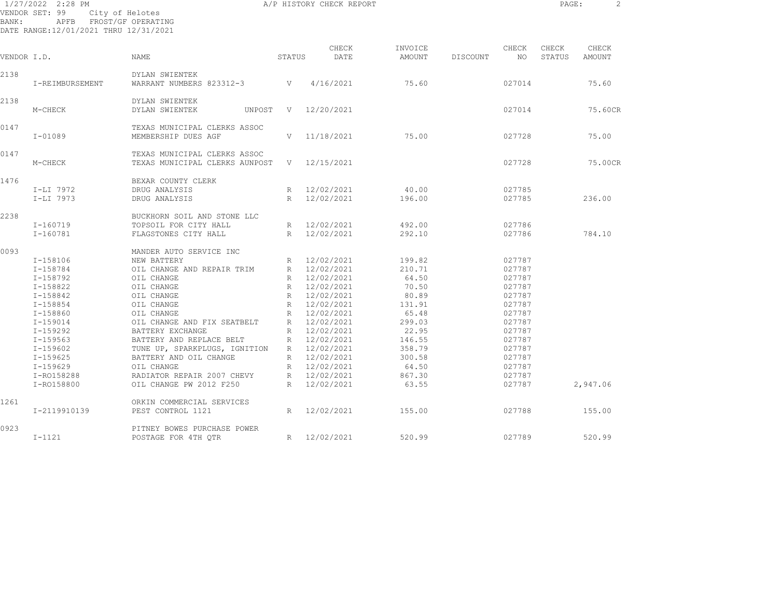| BANK:       | 1/27/2022 2:28 PM<br>VENDOR SET: 99<br>APFB<br>DATE RANGE:12/01/2021 THRU 12/31/2021 | City of Helotes<br>FROST/GF OPERATING                          |                 | A/P HISTORY CHECK REPORT |         |          |        | PAGE:  | 2        |
|-------------|--------------------------------------------------------------------------------------|----------------------------------------------------------------|-----------------|--------------------------|---------|----------|--------|--------|----------|
|             |                                                                                      |                                                                |                 | CHECK                    | INVOICE |          | CHECK  | CHECK  | CHECK    |
| VENDOR I.D. |                                                                                      | NAME                                                           | STATUS          | DATE                     | AMOUNT  | DISCOUNT | NO     | STATUS | AMOUNT   |
| 2138        | I-REIMBURSEMENT                                                                      | DYLAN SWIENTEK<br>WARRANT NUMBERS 823312-3                     |                 | 4/16/2021                | 75.60   |          | 027014 |        | 75.60    |
| 2138        | M-CHECK                                                                              | DYLAN SWIENTEK<br>DYLAN SWIENTEK<br>UNPOST                     | V               | 12/20/2021               |         |          | 027014 |        | 75.60CR  |
| 0147        | $I - 01089$                                                                          | TEXAS MUNICIPAL CLERKS ASSOC<br>MEMBERSHIP DUES AGF            | V               | 11/18/2021               | 75.00   |          | 027728 |        | 75.00    |
| 0147        | M-CHECK                                                                              | TEXAS MUNICIPAL CLERKS ASSOC<br>TEXAS MUNICIPAL CLERKS AUNPOST |                 | V 12/15/2021             |         |          | 027728 |        | 75.00CR  |
| 1476        | I-LI 7972                                                                            | BEXAR COUNTY CLERK<br>DRUG ANALYSIS                            | R               | 12/02/2021               | 40.00   |          | 027785 |        |          |
|             | $I-LI$ 7973                                                                          | DRUG ANALYSIS                                                  | R               | 12/02/2021               | 196.00  |          | 027785 |        | 236.00   |
| 2238        |                                                                                      | BUCKHORN SOIL AND STONE LLC                                    |                 |                          |         |          |        |        |          |
|             | I-160719                                                                             | TOPSOIL FOR CITY HALL                                          |                 | R 12/02/2021             | 492.00  |          | 027786 |        |          |
|             | I-160781                                                                             | FLAGSTONES CITY HALL                                           |                 | R 12/02/2021             | 292.10  |          | 027786 |        | 784.10   |
| 0093        |                                                                                      | MANDER AUTO SERVICE INC                                        |                 |                          |         |          |        |        |          |
|             | I-158106                                                                             | NEW BATTERY                                                    | R               | 12/02/2021               | 199.82  |          | 027787 |        |          |
|             | I-158784                                                                             | OIL CHANGE AND REPAIR TRIM                                     |                 | R 12/02/2021             | 210.71  |          | 027787 |        |          |
|             | $I - 158792$                                                                         | OIL CHANGE                                                     |                 | R 12/02/2021             | 64.50   |          | 027787 |        |          |
|             | $I-158822$                                                                           | OIL CHANGE                                                     |                 | R 12/02/2021             | 70.50   |          | 027787 |        |          |
|             | I-158842                                                                             | OIL CHANGE                                                     | R               | 12/02/2021               | 80.89   |          | 027787 |        |          |
|             | I-158854                                                                             | OIL CHANGE                                                     | R               | 12/02/2021               | 131.91  |          | 027787 |        |          |
|             | I-158860                                                                             | OIL CHANGE                                                     | $R_{\parallel}$ | 12/02/2021               | 65.48   |          | 027787 |        |          |
|             | $I - 159014$                                                                         | OIL CHANGE AND FIX SEATBELT                                    |                 | R 12/02/2021             | 299.03  |          | 027787 |        |          |
|             | I-159292                                                                             | BATTERY EXCHANGE                                               | R               | 12/02/2021               | 22.95   |          | 027787 |        |          |
|             | I-159563                                                                             | BATTERY AND REPLACE BELT                                       | R               | 12/02/2021               | 146.55  |          | 027787 |        |          |
|             | I-159602                                                                             | TUNE UP, SPARKPLUGS, IGNITION                                  |                 | R 12/02/2021             | 358.79  |          | 027787 |        |          |
|             | I-159625                                                                             | BATTERY AND OIL CHANGE                                         |                 | R 12/02/2021             | 300.58  |          | 027787 |        |          |
|             | I-159629                                                                             | OIL CHANGE                                                     |                 | R 12/02/2021             | 64.50   |          | 027787 |        |          |
|             | I-R0158288                                                                           | RADIATOR REPAIR 2007 CHEVY                                     |                 | R 12/02/2021             | 867.30  |          | 027787 |        |          |
|             | I-R0158800                                                                           | OIL CHANGE PW 2012 F250                                        |                 | R 12/02/2021             | 63.55   |          | 027787 |        | 2,947.06 |
| 1261        |                                                                                      | ORKIN COMMERCIAL SERVICES                                      |                 |                          |         |          |        |        |          |
|             | I-2119910139                                                                         | PEST CONTROL 1121                                              |                 | R 12/02/2021             | 155.00  |          | 027788 |        | 155.00   |

I-1121 POSTAGE FOR 4TH QTR R 12/02/2021 520.99 027789 520.99

0923 PITNEY BOWES PURCHASE POWER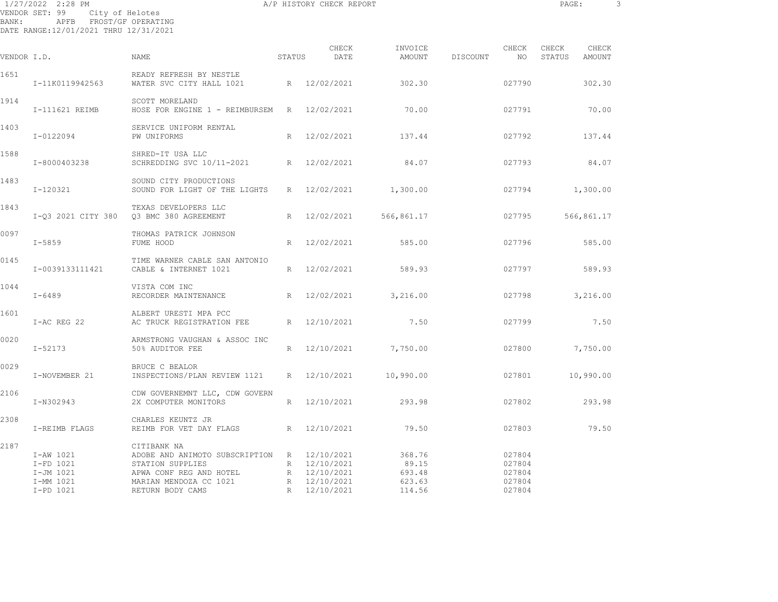| BANK:       | 1/27/2022 2:28 PM<br>VENDOR SET: 99<br>City of Helotes<br>APFB FROST/GF OPERATING<br>DATE RANGE:12/01/2021 THRU 12/31/2021 |                                                                                                                                     |             | A/P HISTORY CHECK REPORT                     |                                     |          |                                      | PAGE:           |                 | 3 |
|-------------|----------------------------------------------------------------------------------------------------------------------------|-------------------------------------------------------------------------------------------------------------------------------------|-------------|----------------------------------------------|-------------------------------------|----------|--------------------------------------|-----------------|-----------------|---|
| VENDOR I.D. |                                                                                                                            | NAME                                                                                                                                | STATUS      | CHECK<br>DATE                                | INVOICE<br>AMOUNT                   | DISCOUNT | CHECK<br>NO                          | CHECK<br>STATUS | CHECK<br>AMOUNT |   |
| 1651        | I-11K0119942563                                                                                                            | READY REFRESH BY NESTLE<br>WATER SVC CITY HALL 1021                                                                                 |             | R 12/02/2021                                 | 302.30                              |          | 027790                               |                 | 302.30          |   |
| 1914        | I-111621 REIMB                                                                                                             | SCOTT MORELAND<br>HOSE FOR ENGINE 1 - REIMBURSEM R 12/02/2021                                                                       |             |                                              | 70.00                               |          | 027791                               |                 | 70.00           |   |
| 1403        | I-0122094                                                                                                                  | SERVICE UNIFORM RENTAL<br>PW UNIFORMS                                                                                               | R           | 12/02/2021                                   | 137.44                              |          | 027792                               |                 | 137.44          |   |
| 1588        | I-8000403238                                                                                                               | SHRED-IT USA LLC<br>SCHREDDING SVC 10/11-2021                                                                                       | $R_{\rm}$   | 12/02/2021                                   | 84.07                               |          | 027793                               |                 | 84.07           |   |
| 1483        | I-120321                                                                                                                   | SOUND CITY PRODUCTIONS<br>SOUND FOR LIGHT OF THE LIGHTS                                                                             | R           | 12/02/2021                                   | 1,300.00                            |          | 027794                               |                 | 1,300.00        |   |
| 1843        | I-Q3 2021 CITY 380                                                                                                         | TEXAS DEVELOPERS LLC<br>Q3 BMC 380 AGREEMENT                                                                                        | R           | 12/02/2021                                   | 566,861.17                          |          | 027795                               |                 | 566,861.17      |   |
| 0097        | $I - 5859$                                                                                                                 | THOMAS PATRICK JOHNSON<br>FUME HOOD                                                                                                 | R           | 12/02/2021                                   | 585.00                              |          | 027796                               |                 | 585.00          |   |
| 0145        | I-0039133111421                                                                                                            | TIME WARNER CABLE SAN ANTONIO<br>CABLE & INTERNET 1021                                                                              | $R_{\perp}$ | 12/02/2021                                   | 589.93                              |          | 027797                               |                 | 589.93          |   |
| 1044        | $I - 6489$                                                                                                                 | VISTA COM INC<br>RECORDER MAINTENANCE                                                                                               | R           | 12/02/2021                                   | 3,216.00                            |          | 027798                               |                 | 3,216.00        |   |
| 1601        | I-AC REG 22                                                                                                                | ALBERT URESTI MPA PCC<br>AC TRUCK REGISTRATION FEE                                                                                  | R           | 12/10/2021                                   | 7.50                                |          | 027799                               |                 | 7.50            |   |
| 0020        | $I - 52173$                                                                                                                | ARMSTRONG VAUGHAN & ASSOC INC<br>50% AUDITOR FEE                                                                                    | R           | 12/10/2021                                   | 7,750.00                            |          | 027800                               |                 | 7,750.00        |   |
| 0029        | I-NOVEMBER 21                                                                                                              | BRUCE C BEALOR<br>INSPECTIONS/PLAN REVIEW 1121                                                                                      |             | R 12/10/2021                                 | 10,990.00                           |          | 027801                               |                 | 10,990.00       |   |
| 2106        | I-N302943                                                                                                                  | CDW GOVERNEMNT LLC, CDW GOVERN<br>2X COMPUTER MONITORS                                                                              | R           | 12/10/2021                                   | 293.98                              |          | 027802                               |                 | 293.98          |   |
| 2308        | I-REIMB FLAGS                                                                                                              | CHARLES KEUNTZ JR<br>REIMB FOR VET DAY FLAGS                                                                                        | R           | 12/10/2021                                   | 79.50                               |          | 027803                               |                 | 79.50           |   |
| 2187        | I-AW 1021<br>I-FD 1021<br>I-JM 1021<br>I-MM 1021                                                                           | CITIBANK NA<br>ADOBE AND ANIMOTO SUBSCRIPTION R 12/10/2021<br>STATION SUPPLIES<br>APWA CONF REG AND HOTEL<br>MARIAN MENDOZA CC 1021 |             | R 12/10/2021<br>R 12/10/2021<br>R 12/10/2021 | 368.76<br>89.15<br>693.48<br>623.63 |          | 027804<br>027804<br>027804<br>027804 |                 |                 |   |

I-PD 1021 RETURN BODY CAMS R 12/10/2021 114.56 027804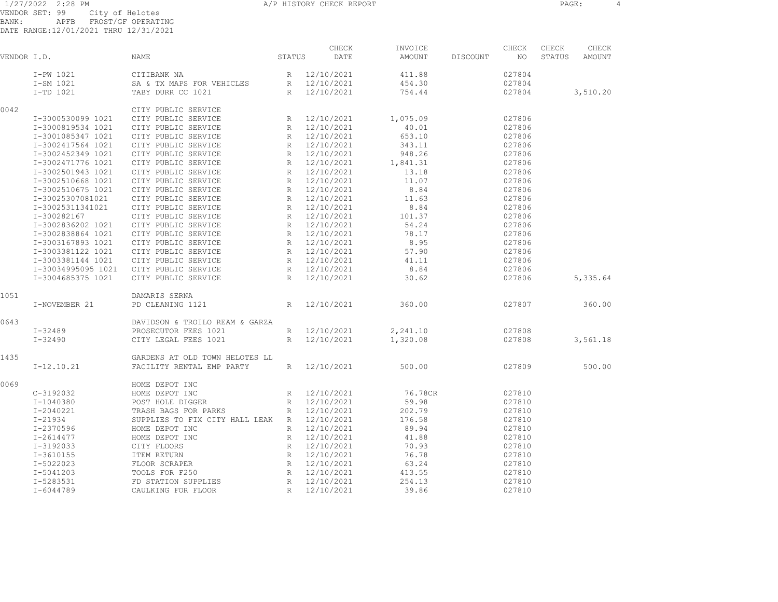1/27/2022 2:28 PM A/P HISTORY CHECK REPORT PAGE: 4 VENDOR SET: 99 City of Helotes BANK: APFB FROST/GF OPERATING

DATE RANGE:12/01/2021 THRU 12/31/2021

|             |                   | ST <sub>1</sub>                             |        | CHECK        | INVOICE  |          | CHECK  | CHECK  | CHECK    |
|-------------|-------------------|---------------------------------------------|--------|--------------|----------|----------|--------|--------|----------|
| VENDOR I.D. |                   | <b>NAME</b>                                 | STATUS | DATE         | AMOUNT   | DISCOUNT | NO.    | STATUS | AMOUNT   |
|             | I-PW 1021         | CITIBANK NA                                 |        | R 12/10/2021 | 411.88   |          | 027804 |        |          |
|             | I-SM 1021         | SA & TX MAPS FOR VEHICLES                   |        | R 12/10/2021 | 454.30   |          | 027804 |        |          |
|             | I-TD 1021         | TABY DURR CC 1021                           |        | R 12/10/2021 | 754.44   |          | 027804 |        | 3,510.20 |
| 0042        |                   | CITY PUBLIC SERVICE                         |        |              |          |          |        |        |          |
|             | I-3000530099 1021 | CITY PUBLIC SERVICE                         |        | R 12/10/2021 | 1,075.09 |          | 027806 |        |          |
|             | I-3000819534 1021 | CITY PUBLIC SERVICE                         |        | R 12/10/2021 | 40.01    |          | 027806 |        |          |
|             | I-3001085347 1021 | CITY PUBLIC SERVICE                         |        | R 12/10/2021 | 653.10   |          | 027806 |        |          |
|             | I-3002417564 1021 | CITY PUBLIC SERVICE                         |        | R 12/10/2021 | 343.11   |          | 027806 |        |          |
|             | I-3002452349 1021 | CITY PUBLIC SERVICE                         |        | R 12/10/2021 | 948.26   |          | 027806 |        |          |
|             | I-3002471776 1021 | CITY PUBLIC SERVICE                         |        | R 12/10/2021 | 1,841.31 |          | 027806 |        |          |
|             | I-3002501943 1021 | CITY PUBLIC SERVICE                         |        | R 12/10/2021 | 13.18    |          | 027806 |        |          |
|             | I-3002510668 1021 | CITY PUBLIC SERVICE                         |        | R 12/10/2021 | 11.07    |          | 027806 |        |          |
|             | I-3002510675 1021 | CITY PUBLIC SERVICE                         |        | R 12/10/2021 | 8.84     |          | 027806 |        |          |
|             | I-30025307081021  | CITY PUBLIC SERVICE                         |        | R 12/10/2021 | 11.63    |          | 027806 |        |          |
|             | I-30025311341021  | CITY PUBLIC SERVICE                         |        | R 12/10/2021 | 8.84     |          | 027806 |        |          |
|             | I-300282167       | CITY PUBLIC SERVICE                         |        | R 12/10/2021 | 101.37   |          | 027806 |        |          |
|             | I-3002836202 1021 | CITY PUBLIC SERVICE                         |        | R 12/10/2021 | 54.24    |          | 027806 |        |          |
|             | I-3002838864 1021 | CITY PUBLIC SERVICE                         |        | R 12/10/2021 | 78.17    |          | 027806 |        |          |
|             | I-3003167893 1021 | CITY PUBLIC SERVICE                         |        | R 12/10/2021 | 8.95     |          | 027806 |        |          |
|             | I-3003381122 1021 | CITY PUBLIC SERVICE                         |        | R 12/10/2021 | 57.90    |          | 027806 |        |          |
|             | I-3003381144 1021 | CITY PUBLIC SERVICE                         |        | R 12/10/2021 | 41.11    |          | 027806 |        |          |
|             |                   | I-30034995095 1021 CITY PUBLIC SERVICE      |        | R 12/10/2021 | 8.84     |          | 027806 |        |          |
|             | I-3004685375 1021 | CITY PUBLIC SERVICE                         |        | R 12/10/2021 | 30.62    |          | 027806 |        | 5,335.64 |
| 1051        |                   | DAMARIS SERNA                               |        |              |          |          |        |        |          |
|             | I-NOVEMBER 21     | PD CLEANING 1121                            | R      | 12/10/2021   | 360.00   |          | 027807 |        | 360.00   |
| 0643        |                   | DAVIDSON & TROILO REAM & GARZA              |        |              |          |          |        |        |          |
|             | I-32489           | PROSECUTOR FEES 1021                        |        | R 12/10/2021 | 2,241.10 |          | 027808 |        |          |
|             | $I - 32490$       | CITY LEGAL FEES 1021                        |        | R 12/10/2021 | 1,320.08 |          | 027808 |        | 3,561.18 |
| 1435        |                   | GARDENS AT OLD TOWN HELOTES LL              |        |              |          |          |        |        |          |
|             | $I-12.10.21$      | FACILITY RENTAL EMP PARTY                   |        | R 12/10/2021 | 500.00   |          | 027809 |        | 500.00   |
| 0069        |                   | HOME DEPOT INC                              |        |              |          |          |        |        |          |
|             | $C-3192032$       | HOME DEPOT INC                              |        | R 12/10/2021 | 76.78CR  |          | 027810 |        |          |
|             | I-1040380         | POST HOLE DIGGER                            |        | R 12/10/2021 | 59.98    |          | 027810 |        |          |
|             | I-2040221         | TRASH BAGS FOR PARKS                        |        | R 12/10/2021 | 202.79   |          | 027810 |        |          |
|             | I-21934           | SUPPLIES TO FIX CITY HALL LEAK R 12/10/2021 |        |              | 176.58   |          | 027810 |        |          |
|             | I-2370596         | HOME DEPOT INC                              |        | R 12/10/2021 | 89.94    |          | 027810 |        |          |
|             | I-2614477         | HOME DEPOT INC                              |        | R 12/10/2021 | 41.88    |          | 027810 |        |          |
|             | I-3192033         | CITY FLOORS                                 |        | R 12/10/2021 | 70.93    |          | 027810 |        |          |
|             | $I - 3610155$     | ITEM RETURN                                 |        | R 12/10/2021 | 76.78    |          | 027810 |        |          |
|             | I-5022023         | FLOOR SCRAPER                               |        | R 12/10/2021 | 63.24    |          | 027810 |        |          |
|             | $I-5041203$       | TOOLS FOR F250                              | R      | 12/10/2021   | 413.55   |          | 027810 |        |          |
|             | I-5283531         | FD STATION SUPPLIES                         |        | R 12/10/2021 | 254.13   |          | 027810 |        |          |

I-6044789 CAULKING FOR FLOOR R 12/10/2021 39.86 027810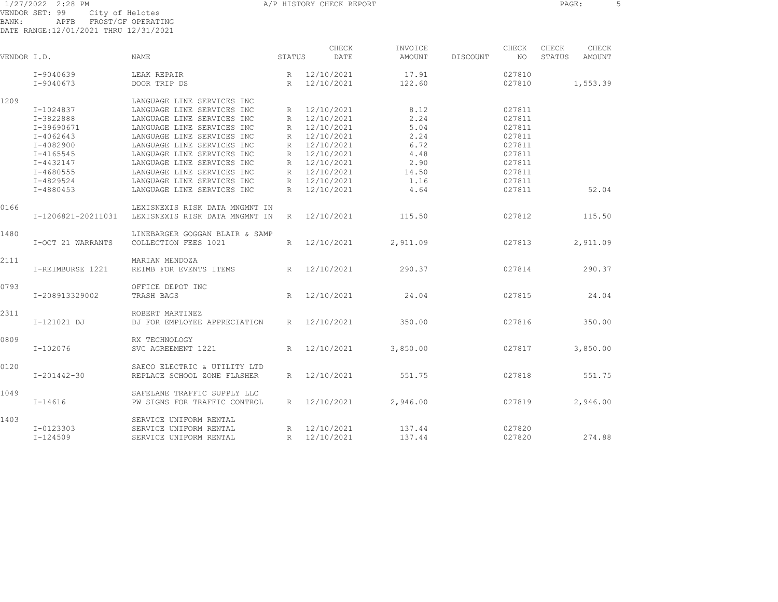1/27/2022 2:28 PM **A/P HISTORY CHECK REPORT CHECK REPORT** PAGE: 5 VENDOR SET: 99 City of Helotes BANK: APFB FROST/GF OPERATING DATE RANGE:12/01/2021 THRU 12/31/2021

CHECK INVOICE CHECK CHECK CHECK VENDOR I.D. NAME STATUS DATE AMOUNT DISCOUNT NO STATUS AMOUNT I-9040639 LEAK REPAIR R 12/10/2021 17.91 027810 I-9040673 DOOR TRIP DS R 12/10/2021 122.60 027810 1,553.39 1209 LANGUAGE LINE SERVICES INC I-1024837 LANGUAGE LINE SERVICES INC R 12/10/2021 8.12 027811 I-3822888 LANGUAGE LINE SERVICES INC R 12/10/2021 2.24 027811 I-39690671 LANGUAGE LINE SERVICES INC R 12/10/2021 5.04 027811 I-4062643 LANGUAGE LINE SERVICES INC R 12/10/2021 2.24 027811 I-4082900 LANGUAGE LINE SERVICES INC R 12/10/2021 6.72 027811 I-4165545 LANGUAGE LINE SERVICES INC R 12/10/2021 4.48 027811 I-4432147 LANGUAGE LINE SERVICES INC R 12/10/2021 2.90 027811 I-4680555 LANGUAGE LINE SERVICES INC R 12/10/2021 14.50 027811 I-4829524 LANGUAGE LINE SERVICES INC R 12/10/2021 1.16 027811 I-4880453 LANGUAGE LINE SERVICES INC R 12/10/2021 4.64 027811 52.04 0166 LEXISNEXIS RISK DATA MNGMNT IN I-1206821-20211031 LEXISNEXIS RISK DATA MNGMNT IN R 12/10/2021 115.50 027812 115.50 1480 LINEBARGER GOGGAN BLAIR & SAMP I-OCT 21 WARRANTS COLLECTION FEES 1021 R 12/10/2021 2,911.09 027813 2,911.09 2111 MARIAN MENDOZA I-REIMBURSE 1221 REIMB FOR EVENTS ITEMS R 12/10/2021 290.37 027814 290.37 0793 OFFICE DEPOT INC I-208913329002 TRASH BAGS R 12/10/2021 24.04 027815 24.04 2311 ROBERT MARTINEZ I-121021 DJ DJ FOR EMPLOYEE APPRECIATION R 12/10/2021 350.00 027816 350.00 0809 RX TECHNOLOGY I-102076 SVC AGREEMENT 1221 R 12/10/2021 3,850.00 027817 3,850.00 0120 SAECO ELECTRIC & UTILITY LTD I-201442-30 REPLACE SCHOOL ZONE FLASHER R 12/10/2021 551.75 027818 551.75 1049 SAFELANE TRAFFIC SUPPLY LLC I-14616 PW SIGNS FOR TRAFFIC CONTROL R 12/10/2021 2,946.00 027819 2,946.00 1403 SERVICE UNIFORM RENTAL I-0123303 SERVICE UNIFORM RENTAL R 12/10/2021 137.44 027820 I-124509 SERVICE UNIFORM RENTAL R 12/10/2021 137.44 027820 274.88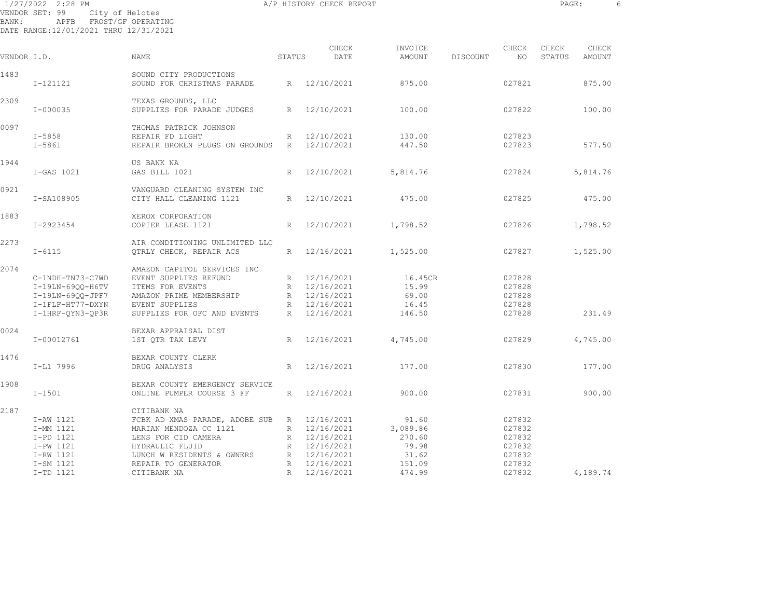|              | 1/27/2022 2:28 PM                                                                  |                                                                             |        | A/P HISTORY CHECK REPORT |                   |          |                  | PAGE:           |                 |  |
|--------------|------------------------------------------------------------------------------------|-----------------------------------------------------------------------------|--------|--------------------------|-------------------|----------|------------------|-----------------|-----------------|--|
| <b>BANK:</b> | VENDOR SET: 99<br>City of Helotes<br>APFB<br>DATE RANGE:12/01/2021 THRU 12/31/2021 | FROST/GF OPERATING                                                          |        |                          |                   |          |                  |                 |                 |  |
| VENDOR I.D.  |                                                                                    | NAME                                                                        | STATUS | CHECK<br>DATE            | INVOICE<br>AMOUNT | DISCOUNT | CHECK<br>NO      | CHECK<br>STATUS | CHECK<br>AMOUNT |  |
| 1483         | $I - 121121$                                                                       | SOUND CITY PRODUCTIONS<br>SOUND FOR CHRISTMAS PARADE                        | R      | 12/10/2021               | 875.00            |          | 027821           |                 | 875.00          |  |
| 2309         | $I - 000035$                                                                       | TEXAS GROUNDS, LLC<br>SUPPLIES FOR PARADE JUDGES                            | R      | 12/10/2021               | 100.00            |          | 027822           |                 | 100.00          |  |
| 0097         | $I - 5858$<br>$I - 5861$                                                           | THOMAS PATRICK JOHNSON<br>REPAIR FD LIGHT<br>REPAIR BROKEN PLUGS ON GROUNDS | R<br>R | 12/10/2021<br>12/10/2021 | 130.00<br>447.50  |          | 027823<br>027823 |                 | 577.50          |  |
| 1944         | I-GAS 1021                                                                         | US BANK NA<br>GAS BILL 1021                                                 | R      | 12/10/2021               | 5,814.76          |          | 027824           |                 | 5,814.76        |  |
| 0921         | I-SA108905                                                                         | VANGUARD CLEANING SYSTEM INC<br>CITY HALL CLEANING 1121                     | R      | 12/10/2021               | 475.00            |          | 027825           |                 | 475.00          |  |
| 1883         | I-2923454                                                                          | XEROX CORPORATION<br>COPIER LEASE 1121                                      | R      | 12/10/2021               | 1,798.52          |          | 027826           |                 | 1,798.52        |  |
| 2273         | $I - 6115$                                                                         | AIR CONDITIONING UNLIMITED LLC<br>OTRLY CHECK, REPAIR ACS                   | R      | 12/16/2021               | 1,525.00          |          | 027827           |                 | 1,525.00        |  |

| 2273 |                  | AIR CONDITIONING UNLIMITED LLC |             |            |          |        |          |
|------|------------------|--------------------------------|-------------|------------|----------|--------|----------|
|      | $I - 6115$       | QTRLY CHECK, REPAIR ACS        | R           | 12/16/2021 | 1,525.00 | 027827 | 1,525.00 |
| 2074 |                  | AMAZON CAPITOL SERVICES INC    |             |            |          |        |          |
|      | C-1NDH-TN73-C7WD | EVENT SUPPLIES REFUND          | R           | 12/16/2021 | 16.45CR  | 027828 |          |
|      | I-19LN-69QQ-H6TV | ITEMS FOR EVENTS               | R           | 12/16/2021 | 15.99    | 027828 |          |
|      | I-19LN-69QQ-JPF7 | AMAZON PRIME MEMBERSHIP        | R           | 12/16/2021 | 69.00    | 027828 |          |
|      | I-1FLF-HT77-DXYN | EVENT SUPPLIES                 | R           | 12/16/2021 | 16.45    | 027828 |          |
|      | I-1HRF-OYN3-OP3R | SUPPLIES FOR OFC AND EVENTS    | R           | 12/16/2021 | 146.50   | 027828 | 231.49   |
| 0024 |                  | BEXAR APPRAISAL DIST           |             |            |          |        |          |
|      | I-00012761       | 1ST OTR TAX LEVY               | R           | 12/16/2021 | 4,745.00 | 027829 | 4,745.00 |
| 1476 |                  | BEXAR COUNTY CLERK             |             |            |          |        |          |
|      | I-L1 7996        | DRUG ANALYSIS                  | R           | 12/16/2021 | 177.00   | 027830 | 177.00   |
| 1908 |                  | BEXAR COUNTY EMERGENCY SERVICE |             |            |          |        |          |
|      | $I - 1501$       | ONLINE PUMPER COURSE 3 FF      | R           | 12/16/2021 | 900.00   | 027831 | 900.00   |
| 2187 |                  | CITIBANK NA                    |             |            |          |        |          |
|      | I-AW 1121        | FCBK AD XMAS PARADE, ADOBE SUB | R           | 12/16/2021 | 91.60    | 027832 |          |
|      | I-MM 1121        | MARIAN MENDOZA CC 1121         | R           | 12/16/2021 | 3,089.86 | 027832 |          |
|      | I-PD 1121        | LENS FOR CID CAMERA            | R           | 12/16/2021 | 270.60   | 027832 |          |
|      | I-PW 1121        | HYDRAULIC FLUID                | R           | 12/16/2021 | 79.98    | 027832 |          |
|      | I-RW 1121        | LUNCH W RESIDENTS & OWNERS     | R           | 12/16/2021 | 31.62    | 027832 |          |
|      | I-SM 1121        | REPAIR TO GENERATOR            | R           | 12/16/2021 | 151.09   | 027832 |          |
|      | I-TD 1121        | CITIBANK NA                    | $R_{\odot}$ | 12/16/2021 | 474.99   | 027832 | 4,189.74 |
|      |                  |                                |             |            |          |        |          |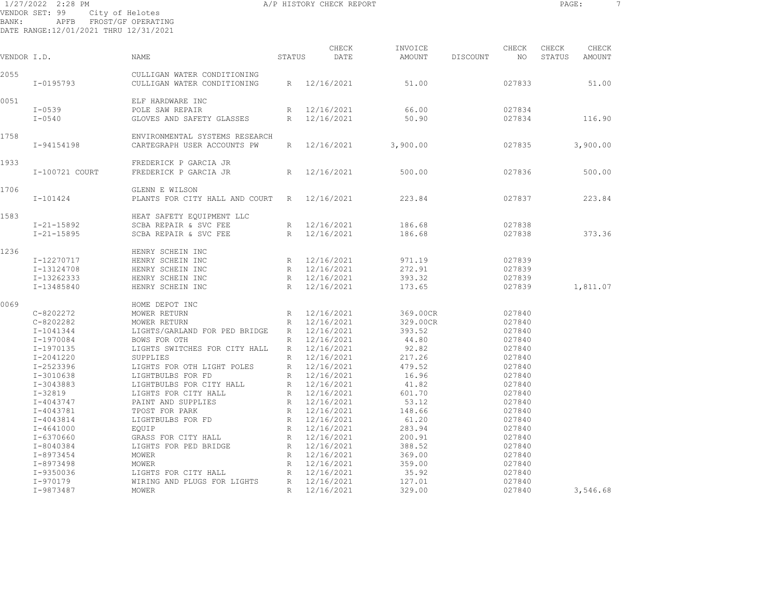1/27/2022 2:28 PM A/P HISTORY CHECK REPORT PAGE: 7 VENDOR SET: 99 City of Helotes BANK: APFB FROST/GF OPERATING DATE RANGE:12/01/2021 THRU 12/31/2021

|             |                  |                                                               |                 | CHECK        | INVOICE  |          | CHECK  | CHECK  | CHECK         |  |
|-------------|------------------|---------------------------------------------------------------|-----------------|--------------|----------|----------|--------|--------|---------------|--|
| VENDOR I.D. |                  | NAME                                                          | STATUS          | DATE         | AMOUNT   | DISCOUNT | NO.    | STATUS | <b>AMOUNT</b> |  |
| 2055        | I-0195793        | CULLIGAN WATER CONDITIONING<br>CULLIGAN WATER CONDITIONING    | R               | 12/16/2021   | 51.00    |          | 027833 |        | 51.00         |  |
| 0051        |                  | ELF HARDWARE INC                                              |                 |              |          |          |        |        |               |  |
|             | $I - 0539$       | POLE SAW REPAIR                                               | R               | 12/16/2021   | 66.00    |          | 027834 |        |               |  |
|             | $I - 0540$       | GLOVES AND SAFETY GLASSES                                     | R               | 12/16/2021   | 50.90    |          | 027834 |        | 116.90        |  |
|             |                  |                                                               |                 |              |          |          |        |        |               |  |
| 1758        | I-94154198       | ENVIRONMENTAL SYSTEMS RESEARCH<br>CARTEGRAPH USER ACCOUNTS PW | R               | 12/16/2021   | 3,900.00 |          | 027835 |        | 3,900.00      |  |
|             |                  |                                                               |                 |              |          |          |        |        |               |  |
| 1933        |                  | FREDERICK P GARCIA JR                                         |                 |              |          |          |        |        |               |  |
|             | I-100721 COURT   | FREDERICK P GARCIA JR                                         | $R_{\parallel}$ | 12/16/2021   | 500.00   |          | 027836 |        | 500.00        |  |
| 1706        |                  | GLENN E WILSON                                                |                 |              |          |          |        |        |               |  |
|             | $I - 101424$     | PLANTS FOR CITY HALL AND COURT                                | R               | 12/16/2021   | 223.84   |          | 027837 |        | 223.84        |  |
| 1583        |                  | HEAT SAFETY EQUIPMENT LLC                                     |                 |              |          |          |        |        |               |  |
|             | $I - 21 - 15892$ | SCBA REPAIR & SVC FEE                                         | $R_{\parallel}$ | 12/16/2021   | 186.68   |          | 027838 |        |               |  |
|             | $I - 21 - 15895$ | SCBA REPAIR & SVC FEE                                         | $R_{\perp}$     | 12/16/2021   | 186.68   |          | 027838 |        | 373.36        |  |
|             |                  |                                                               |                 |              |          |          |        |        |               |  |
| 1236        |                  | HENRY SCHEIN INC                                              |                 |              |          |          |        |        |               |  |
|             | I-12270717       | HENRY SCHEIN INC                                              | $R_{\parallel}$ | 12/16/2021   | 971.19   |          | 027839 |        |               |  |
|             | I-13124708       | HENRY SCHEIN INC                                              |                 | R 12/16/2021 | 272.91   |          | 027839 |        |               |  |
|             | I-13262333       | HENRY SCHEIN INC                                              |                 | R 12/16/2021 | 393.32   |          | 027839 |        |               |  |
|             | I-13485840       | HENRY SCHEIN INC                                              | R               | 12/16/2021   | 173.65   |          | 027839 |        | 1,811.07      |  |
| 0069        |                  | HOME DEPOT INC                                                |                 |              |          |          |        |        |               |  |
|             | $C-8202272$      | MOWER RETURN                                                  | $R_{\parallel}$ | 12/16/2021   | 369.00CR |          | 027840 |        |               |  |
|             | $C-8202282$      | MOWER RETURN                                                  | R               | 12/16/2021   | 329.00CR |          | 027840 |        |               |  |
|             | I-1041344        | LIGHTS/GARLAND FOR PED BRIDGE                                 |                 | R 12/16/2021 | 393.52   |          | 027840 |        |               |  |
|             | I-1970084        | BOWS FOR OTH                                                  | $R_{\parallel}$ | 12/16/2021   | 44.80    |          | 027840 |        |               |  |
|             | I-1970135        | LIGHTS SWITCHES FOR CITY HALL                                 | $R_{\parallel}$ | 12/16/2021   | 92.82    |          | 027840 |        |               |  |
|             | $I - 2041220$    | SUPPLIES                                                      | $\mathbb R$     | 12/16/2021   | 217.26   |          | 027840 |        |               |  |
|             | I-2523396        | LIGHTS FOR OTH LIGHT POLES                                    | R               | 12/16/2021   | 479.52   |          | 027840 |        |               |  |
|             | I-3010638        | LIGHTBULBS FOR FD                                             | $\mathbb R$     | 12/16/2021   | 16.96    |          | 027840 |        |               |  |
|             | I-3043883        | LIGHTBULBS FOR CITY HALL                                      | R               | 12/16/2021   | 41.82    |          | 027840 |        |               |  |
|             | $I-32819$        | LIGHTS FOR CITY HALL                                          | $\mathbb{R}$    | 12/16/2021   | 601.70   |          | 027840 |        |               |  |
|             | I-4043747        | PAINT AND SUPPLIES                                            | R               | 12/16/2021   | 53.12    |          | 027840 |        |               |  |
|             | I-4043781        | TPOST FOR PARK                                                | $R_{\parallel}$ | 12/16/2021   | 148.66   |          | 027840 |        |               |  |
|             | I-4043814        | LIGHTBULBS FOR FD                                             | $R_{\parallel}$ | 12/16/2021   | 61.20    |          | 027840 |        |               |  |
|             | $I - 4641000$    | EQUIP                                                         | $\mathbb{R}$    | 12/16/2021   | 283.94   |          | 027840 |        |               |  |
|             | I-6370660        | GRASS FOR CITY HALL                                           | R               | 12/16/2021   | 200.91   |          | 027840 |        |               |  |
|             | $I-8040384$      | LIGHTS FOR PED BRIDGE                                         |                 | R 12/16/2021 | 388.52   |          | 027840 |        |               |  |
|             | I-8973454        | MOWER                                                         | R               | 12/16/2021   | 369.00   |          | 027840 |        |               |  |
|             | I-8973498        | MOWER                                                         | R               | 12/16/2021   | 359.00   |          | 027840 |        |               |  |
|             | I-9350036        | LIGHTS FOR CITY HALL                                          | R               | 12/16/2021   | 35.92    |          | 027840 |        |               |  |
|             |                  |                                                               |                 |              |          |          |        |        |               |  |
|             | I-970179         | WIRING AND PLUGS FOR LIGHTS                                   | R               | 12/16/2021   | 127.01   |          | 027840 |        |               |  |
|             | I-9873487        | MOWER                                                         | $\mathbb{R}$    | 12/16/2021   | 329.00   |          | 027840 |        | 3,546.68      |  |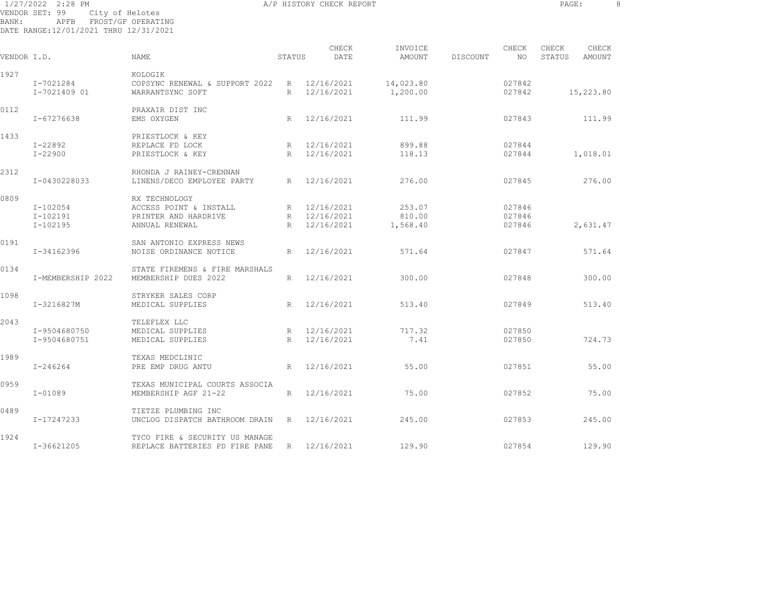1/27/2022 2:28 PM **A/P HISTORY CHECK REPORT PAGE:** 8 VENDOR SET: 99 City of Helotes BANK: APFB FROST/GF OPERATING DATE RANGE:12/01/2021 THRU 12/31/2021

CHECK INVOICE CHECK CHECK CHECK VENDOR I.D. NAME STATUS DATE AMOUNT DISCOUNT NO STATUS AMOUNT 1927 KOLOGIK I-7021284 COPSYNC RENEWAL & SUPPORT 2022 R 12/16/2021 14,023.80 027842 I-7021409 01 WARRANTSYNC SOFT R 12/16/2021 1,200.00 027842 15,223.80 0112 PRAXAIR DIST INC I-67276638 EMS OXYGEN R 12/16/2021 111.99 027843 111.99 1433 PRIESTLOCK & KEY I-22892 REPLACE FD LOCK R 12/16/2021 899.88 027844 I-22900 PRIESTLOCK & KEY R 12/16/2021 118.13 027844 1,018.01 2312 RHONDA J RAINEY-CRENNAN I-0430228033 LINENS/DECO EMPLOYEE PARTY R 12/16/2021 276.00 027845 276.00 0809 RX TECHNOLOGY I-102054 ACCESS POINT & INSTALL R 12/16/2021 253.07 027846 I-102191 PRINTER AND HARDRIVE R 12/16/2021 810.00 027846 I-102195 ANNUAL RENEWAL R 12/16/2021 1,568.40 027846 2,631.47 0191 SAN ANTONIO EXPRESS NEWS I-34162396 NOISE ORDINANCE NOTICE R 12/16/2021 571.64 027847 571.64 0134 STATE FIREMENS & FIRE MARSHALS I-MEMBERSHIP 2022 MEMBERSHIP DUES 2022 R 12/16/2021 300.00 027848 300.00 1098 STRYKER SALES CORP I-3216827M MEDICAL SUPPLIES R 12/16/2021 513.40 027849 513.40 2043 TELEFLEX LLC I-9504680750 MEDICAL SUPPLIES R 12/16/2021 717.32 027850 I-9504680751 MEDICAL SUPPLIES R 12/16/2021 7.41 027850 724.73 1989 TEXAS MEDCLINIC I-246264 PRE EMP DRUG ANTU R 12/16/2021 55.00 027851 55.00 0959 TEXAS MUNICIPAL COURTS ASSOCIA I-01089 MEMBERSHIP AGF 21-22 R 12/16/2021 75.00 027852 75.00 0489 TIETZE PLUMBING INC I-17247233 UNCLOG DISPATCH BATHROOM DRAIN R 12/16/2021 245.00 027853 245.00 1924 TYCO FIRE & SECURITY US MANAGE

I-36621205 REPLACE BATTERIES PD FIRE PANE R 12/16/2021 129.90 027854 129.90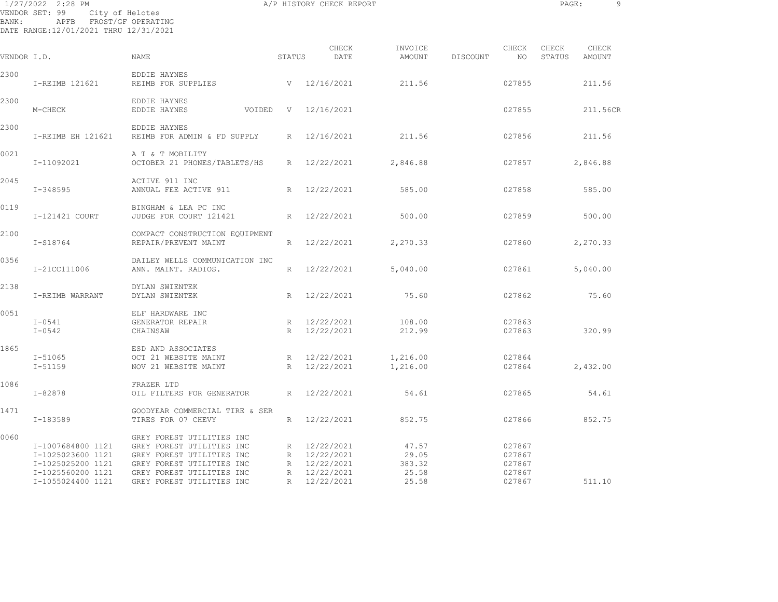| BANK:       | 1/27/2022 2:28 PM<br>VENDOR SET: 99<br>APFB FROST/GF OPERATING<br>DATE RANGE:12/01/2021 THRU 12/31/2021 | City of Helotes                                                                                                                                                            |              | A/P HISTORY CHECK REPORT                                                   |                                            |          |                                                | PAGE:           |                 | 9 |
|-------------|---------------------------------------------------------------------------------------------------------|----------------------------------------------------------------------------------------------------------------------------------------------------------------------------|--------------|----------------------------------------------------------------------------|--------------------------------------------|----------|------------------------------------------------|-----------------|-----------------|---|
| VENDOR I.D. |                                                                                                         | <b>NAME</b>                                                                                                                                                                | STATUS       | CHECK<br>DATE                                                              | INVOICE<br>AMOUNT                          | DISCOUNT | CHECK<br>NO                                    | CHECK<br>STATUS | CHECK<br>AMOUNT |   |
| 2300        | I-REIMB 121621                                                                                          | EDDIE HAYNES<br>REIMB FOR SUPPLIES                                                                                                                                         |              | V 12/16/2021                                                               | 211.56                                     |          | 027855                                         |                 | 211.56          |   |
| 2300        | M-CHECK                                                                                                 | EDDIE HAYNES<br>EDDIE HAYNES<br>VOIDED                                                                                                                                     | $\mathbf{V}$ | 12/16/2021                                                                 |                                            |          | 027855                                         |                 | 211.56CR        |   |
| 2300        | I-REIMB EH 121621                                                                                       | EDDIE HAYNES<br>REIMB FOR ADMIN & FD SUPPLY                                                                                                                                | R            | 12/16/2021                                                                 | 211.56                                     |          | 027856                                         |                 | 211.56          |   |
| 0021        | I-11092021                                                                                              | A T & T MOBILITY<br>OCTOBER 21 PHONES/TABLETS/HS                                                                                                                           | R            | 12/22/2021                                                                 | 2,846.88                                   |          | 027857                                         |                 | 2,846.88        |   |
| 2045        | $I - 348595$                                                                                            | ACTIVE 911 INC<br>ANNUAL FEE ACTIVE 911                                                                                                                                    | R            | 12/22/2021                                                                 | 585.00                                     |          | 027858                                         |                 | 585.00          |   |
| 0119        | I-121421 COURT                                                                                          | BINGHAM & LEA PC INC<br>JUDGE FOR COURT 121421                                                                                                                             | R            | 12/22/2021                                                                 | 500.00                                     |          | 027859                                         |                 | 500.00          |   |
| 2100        | I-S18764                                                                                                | COMPACT CONSTRUCTION EQUIPMENT<br>REPAIR/PREVENT MAINT                                                                                                                     | R            | 12/22/2021                                                                 | 2,270.33                                   |          | 027860                                         |                 | 2,270.33        |   |
| 0356        | I-21CC111006                                                                                            | DAILEY WELLS COMMUNICATION INC<br>ANN. MAINT. RADIOS.                                                                                                                      | R            | 12/22/2021                                                                 | 5,040.00                                   |          | 027861                                         |                 | 5,040.00        |   |
| 2138        | I-REIMB WARRANT                                                                                         | DYLAN SWIENTEK<br>DYLAN SWIENTEK                                                                                                                                           | R            | 12/22/2021                                                                 | 75.60                                      |          | 027862                                         |                 | 75.60           |   |
| 0051        | $I-0541$<br>$I - 0542$                                                                                  | ELF HARDWARE INC<br>GENERATOR REPAIR<br>CHAINSAW                                                                                                                           | R<br>R       | 12/22/2021<br>12/22/2021                                                   | 108.00<br>212.99                           |          | 027863<br>027863                               |                 | 320.99          |   |
| 1865        | I-51065<br>$I - 51159$                                                                                  | ESD AND ASSOCIATES<br>OCT 21 WEBSITE MAINT<br>NOV 21 WEBSITE MAINT                                                                                                         | R<br>R       | 12/22/2021<br>12/22/2021                                                   | 1,216.00<br>1,216.00                       |          | 027864<br>027864                               |                 | 2,432.00        |   |
| 1086        | $I - 82878$                                                                                             | FRAZER LTD<br>OIL FILTERS FOR GENERATOR                                                                                                                                    | R            | 12/22/2021                                                                 | 54.61                                      |          | 027865                                         |                 | 54.61           |   |
| 1471        | I-183589                                                                                                | GOODYEAR COMMERCIAL TIRE & SER<br>TIRES FOR 07 CHEVY                                                                                                                       | R            | 12/22/2021                                                                 | 852.75                                     |          | 027866                                         |                 | 852.75          |   |
| 0060        | I-1007684800 1121<br>I-1025023600 1121<br>I-1025025200 1121<br>I-1025560200 1121<br>I-1055024400 1121   | GREY FOREST UTILITIES INC<br>GREY FOREST UTILITIES INC<br>GREY FOREST UTILITIES INC<br>GREY FOREST UTILITIES INC<br>GREY FOREST UTILITIES INC<br>GREY FOREST UTILITIES INC | R            | R 12/22/2021<br>R 12/22/2021<br>R 12/22/2021<br>12/22/2021<br>R 12/22/2021 | 47.57<br>29.05<br>383.32<br>25.58<br>25.58 |          | 027867<br>027867<br>027867<br>027867<br>027867 |                 | 511.10          |   |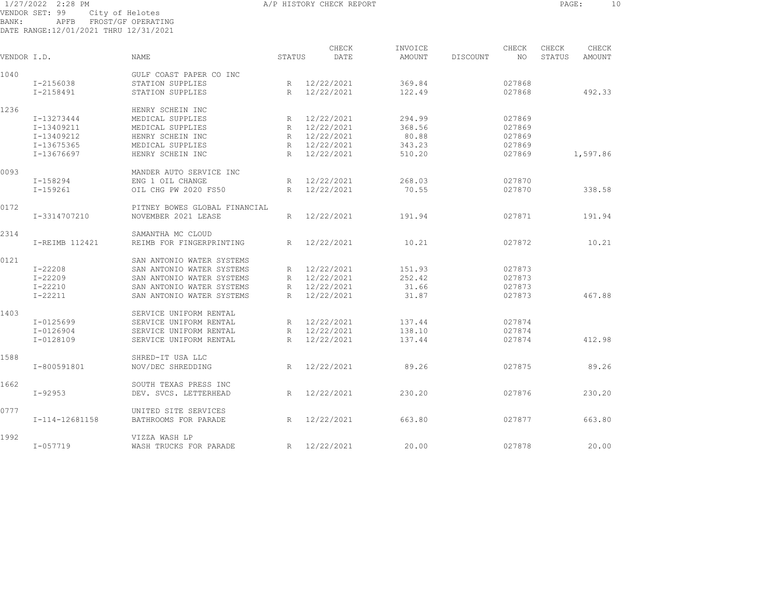1/27/2022 2:28 PM A/P HISTORY CHECK REPORT PAGE: 10 VENDOR SET: 99 City of Helotes BANK: APFB FROST/GF OPERATING DATE RANGE:12/01/2021 THRU 12/31/2021

CHECK INVOICE CHECK CHECK CHECK VENDOR I.D. NAME STATUS DATE AMOUNT DISCOUNT NO STATUS AMOUNT 1040 GULF COAST PAPER CO INC I-2156038 STATION SUPPLIES R 12/22/2021 369.84 027868 I-2158491 STATION SUPPLIES R 12/22/2021 122.49 027868 492.33 1236 HENRY SCHEIN INC I-13273444 MEDICAL SUPPLIES R 12/22/2021 294.99 027869 I-13409211 MEDICAL SUPPLIES R 12/22/2021 368.56 027869 I-13409212 HENRY SCHEIN INC R 12/22/2021 80.88 027869 I-13675365 MEDICAL SUPPLIES R 12/22/2021 343.23 027869 I-13676697 HENRY SCHEIN INC R 12/22/2021 510.20 027869 1,597.86 0093 MANDER AUTO SERVICE INC I-158294 ENG 1 OIL CHANGE R 12/22/2021 268.03 027870 I-159261 OIL CHG PW 2020 FS50 R 12/22/2021 70.55 027870 338.58 0172 PITNEY BOWES GLOBAL FINANCIAL I-3314707210 NOVEMBER 2021 LEASE R 12/22/2021 191.94 027871 191.94 2314 SAMANTHA MC CLOUD I-REIMB 112421 REIMB FOR FINGERPRINTING R 12/22/2021 10.21 027872 10.21 0121 SAN ANTONIO WATER SYSTEMS I-22208 SAN ANTONIO WATER SYSTEMS R 12/22/2021 151.93 027873 I-22209 SAN ANTONIO WATER SYSTEMS R 12/22/2021 252.42 027873 I-22210 SAN ANTONIO WATER SYSTEMS R 12/22/2021 31.66 027873 I-22211 SAN ANTONIO WATER SYSTEMS R 12/22/2021 31.87 027873 467.88 1403 SERVICE UNIFORM RENTAL I-0125699 SERVICE UNIFORM RENTAL R 12/22/2021 137.44 027874 I-0126904 SERVICE UNIFORM RENTAL R 12/22/2021 138.10 027874 I-0128109 SERVICE UNIFORM RENTAL R 12/22/2021 137.44 027874 412.98 1588 SHRED-IT USA LLC I-800591801 NOV/DEC SHREDDING R 12/22/2021 89.26 027875 89.26 1662 SOUTH TEXAS PRESS INC I-92953 DEV. SVCS. LETTERHEAD R 12/22/2021 230.20 027876 230.20 0777 UNITED SITE SERVICES I-114-12681158 BATHROOMS FOR PARADE R 12/22/2021 663.80 027877 663.80 1992 VIZZA WASH LPI-057719 WASH TRUCKS FOR PARADE R 12/22/2021 20.00 027878 20.00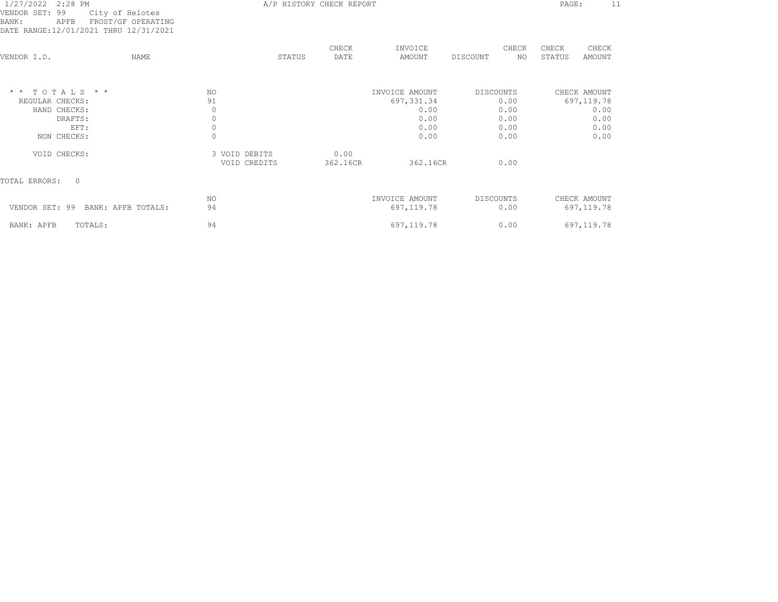| 1/27/2022 2:28 PM<br>VENDOR SET: 99<br>City of Helotes<br>BANK:<br>APFB<br>DATE RANGE:12/01/2021 THRU 12/31/2021 | FROST/GF OPERATING |                                                             |        | A/P HISTORY CHECK REPORT |                                                               |           |                                      | PAGE:           | 11                                                         |  |
|------------------------------------------------------------------------------------------------------------------|--------------------|-------------------------------------------------------------|--------|--------------------------|---------------------------------------------------------------|-----------|--------------------------------------|-----------------|------------------------------------------------------------|--|
| VENDOR I.D.                                                                                                      | <b>NAME</b>        |                                                             | STATUS | CHECK<br>DATE            | INVOICE<br>AMOUNT                                             | DISCOUNT  | CHECK<br>NO.                         | CHECK<br>STATUS | CHECK<br>AMOUNT                                            |  |
| $*$ * TOTALS * *<br>REGULAR CHECKS:<br>HAND CHECKS:<br>DRAFTS:<br>EFT:<br>NON CHECKS:                            |                    | NO.<br>91<br>0<br>$\mathbf 0$<br>$\mathbf 0$<br>$\mathbf 0$ |        |                          | INVOICE AMOUNT<br>697, 331.34<br>0.00<br>0.00<br>0.00<br>0.00 | DISCOUNTS | 0.00<br>0.00<br>0.00<br>0.00<br>0.00 |                 | CHECK AMOUNT<br>697,119.78<br>0.00<br>0.00<br>0.00<br>0.00 |  |
| VOID CHECKS:                                                                                                     |                    | 3 VOID DEBITS<br>VOID CREDITS                               |        | 0.00<br>362.16CR         | 362.16CR                                                      |           | 0.00                                 |                 |                                                            |  |
| TOTAL ERRORS:<br>$\Omega$                                                                                        |                    |                                                             |        |                          |                                                               |           |                                      |                 |                                                            |  |
| VENDOR SET: 99 BANK: APFB TOTALS:                                                                                |                    | NO.<br>94                                                   |        |                          | INVOICE AMOUNT<br>697,119.78                                  | DISCOUNTS | 0.00                                 |                 | CHECK AMOUNT<br>697,119.78                                 |  |
| BANK: APFB<br>TOTALS:                                                                                            |                    | 94                                                          |        |                          | 697, 119.78                                                   |           | 0.00                                 |                 | 697,119.78                                                 |  |
|                                                                                                                  |                    |                                                             |        |                          |                                                               |           |                                      |                 |                                                            |  |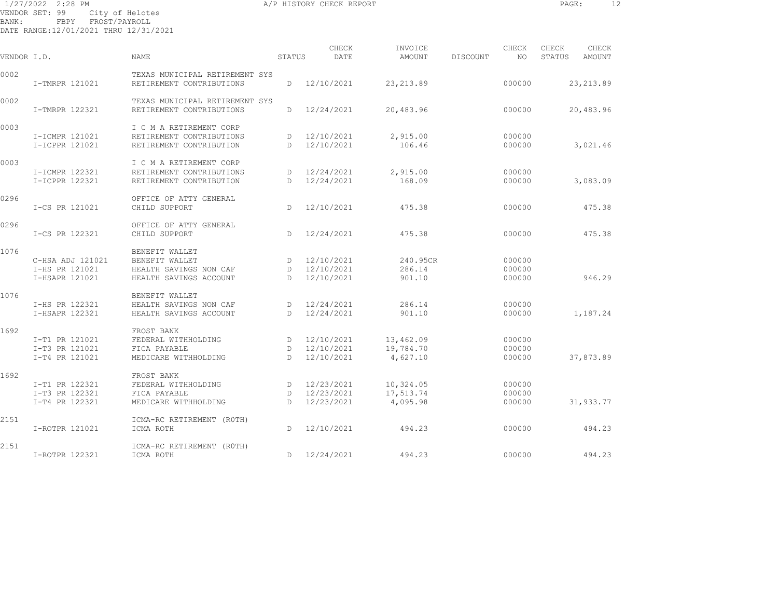1/27/2022 2:28 PM A/P HISTORY CHECK REPORT PAGE: 12 VENDOR SET: 99 City of Helotes BANK: FBPY FROST/PAYROLL

DATE RANGE:12/01/2021 THRU 12/31/2021

| VENDOR I.D. |                  | <b>NAME</b>                    | STATUS       | CHECK<br>DATE | INVOICE<br>AMOUNT | DISCOUNT | CHECK<br>NO. | CHECK<br>STATUS | CHECK<br>AMOUNT |
|-------------|------------------|--------------------------------|--------------|---------------|-------------------|----------|--------------|-----------------|-----------------|
| 0002        |                  | TEXAS MUNICIPAL RETIREMENT SYS |              |               |                   |          |              |                 |                 |
|             | I-TMRPR 121021   | RETIREMENT CONTRIBUTIONS       | D            | 12/10/2021    | 23, 213.89        |          | 000000       |                 | 23, 213.89      |
| 0002        |                  | TEXAS MUNICIPAL RETIREMENT SYS |              |               |                   |          |              |                 |                 |
|             | I-TMRPR 122321   | RETIREMENT CONTRIBUTIONS       | D            | 12/24/2021    | 20,483.96         |          | 000000       |                 | 20,483.96       |
| 0003        |                  | I C M A RETIREMENT CORP        |              |               |                   |          |              |                 |                 |
|             | I-ICMPR 121021   | RETIREMENT CONTRIBUTIONS       | D.           | 12/10/2021    | 2,915.00          |          | 000000       |                 |                 |
|             | I-ICPPR 121021   | RETIREMENT CONTRIBUTION        | D            | 12/10/2021    | 106.46            |          | 000000       |                 | 3,021.46        |
| 0003        |                  | I C M A RETIREMENT CORP        |              |               |                   |          |              |                 |                 |
|             | I-ICMPR 122321   | RETIREMENT CONTRIBUTIONS       | D            | 12/24/2021    | 2,915.00          |          | 000000       |                 |                 |
|             | I-ICPPR 122321   | RETIREMENT CONTRIBUTION        | D.           | 12/24/2021    | 168.09            |          | 000000       |                 | 3,083.09        |
| 0296        |                  | OFFICE OF ATTY GENERAL         |              |               |                   |          |              |                 |                 |
|             | I-CS PR 121021   | CHILD SUPPORT                  | D.           | 12/10/2021    | 475.38            |          | 000000       |                 | 475.38          |
| 0296        |                  | OFFICE OF ATTY GENERAL         |              |               |                   |          |              |                 |                 |
|             | I-CS PR 122321   | CHILD SUPPORT                  | D.           | 12/24/2021    | 475.38            |          | 000000       |                 | 475.38          |
| 1076        |                  | BENEFIT WALLET                 |              |               |                   |          |              |                 |                 |
|             | C-HSA ADJ 121021 | BENEFIT WALLET                 | D            | 12/10/2021    | 240.95CR          |          | 000000       |                 |                 |
|             | I-HS PR 121021   | HEALTH SAVINGS NON CAF         | D            | 12/10/2021    | 286.14            |          | 000000       |                 |                 |
|             | I-HSAPR 121021   | HEALTH SAVINGS ACCOUNT         | D            | 12/10/2021    | 901.10            |          | 000000       |                 | 946.29          |
| 1076        |                  | BENEFIT WALLET                 |              |               |                   |          |              |                 |                 |
|             | I-HS PR 122321   | HEALTH SAVINGS NON CAF         | D            | 12/24/2021    | 286.14            |          | 000000       |                 |                 |
|             | I-HSAPR 122321   | HEALTH SAVINGS ACCOUNT         | D            | 12/24/2021    | 901.10            |          | 000000       |                 | 1,187.24        |
| 1692        |                  | FROST BANK                     |              |               |                   |          |              |                 |                 |
|             | I-T1 PR 121021   | FEDERAL WITHHOLDING            | D            | 12/10/2021    | 13,462.09         |          | 000000       |                 |                 |
|             | I-T3 PR 121021   | FICA PAYABLE                   | $\mathbb{D}$ | 12/10/2021    | 19,784.70         |          | 000000       |                 |                 |
|             | I-T4 PR 121021   | MEDICARE WITHHOLDING           | $\mathbb{D}$ | 12/10/2021    | 4,627.10          |          | 000000       |                 | 37,873.89       |
| 1692        |                  | FROST BANK                     |              |               |                   |          |              |                 |                 |
|             | I-T1 PR 122321   | FEDERAL WITHHOLDING            | D            | 12/23/2021    | 10,324.05         |          | 000000       |                 |                 |
|             | I-T3 PR 122321   | FICA PAYABLE                   | $\mathbb{D}$ | 12/23/2021    | 17,513.74         |          | 000000       |                 |                 |
|             | I-T4 PR 122321   | MEDICARE WITHHOLDING           | D.           | 12/23/2021    | 4,095.98          |          | 000000       |                 | 31,933.77       |
| 2151        |                  | ICMA-RC RETIREMENT (ROTH)      |              |               |                   |          |              |                 |                 |
|             | I-ROTPR 121021   | ICMA ROTH                      | D            | 12/10/2021    | 494.23            |          | 000000       |                 | 494.23          |
| 2151        |                  | ICMA-RC RETIREMENT (ROTH)      |              |               |                   |          |              |                 |                 |
|             | I-ROTPR 122321   | ICMA ROTH                      | D            | 12/24/2021    | 494.23            |          | 000000       |                 | 494.23          |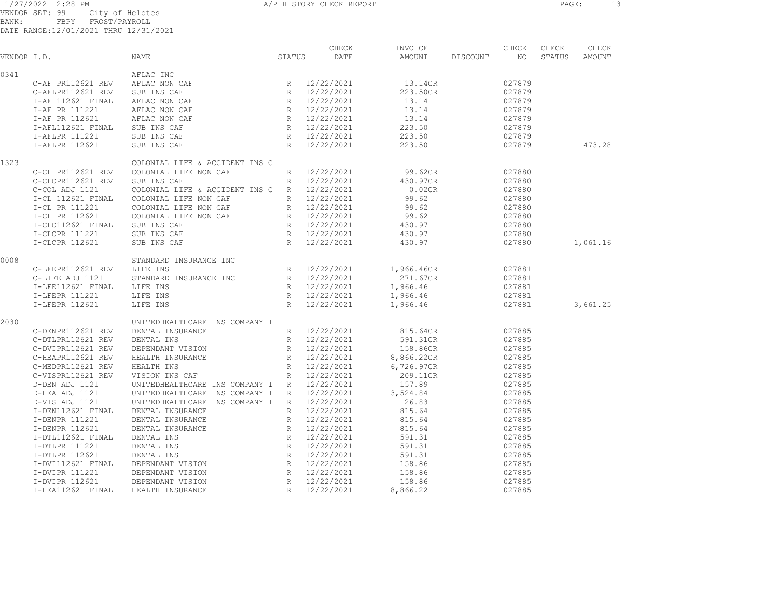1/27/2022 2:28 PM VENDOR SET: 99 City of Helotes BANK: FBPY FROST/PAYROLL DATE RANGE:12/01/2021 THRU 12/31/2021

| VENDOR I.D. |                   | NAME                           | STATUS          | CHECK<br>DATE | INVOICE<br>AMOUNT | DISCOUNT | CHECK<br>NO.     | CHECK<br>STATUS | CHECK<br>AMOUNT |  |
|-------------|-------------------|--------------------------------|-----------------|---------------|-------------------|----------|------------------|-----------------|-----------------|--|
|             |                   |                                |                 |               |                   |          |                  |                 |                 |  |
| 0341        |                   | AFLAC INC                      |                 |               |                   |          |                  |                 |                 |  |
|             | C-AF PR112621 REV | AFLAC NON CAF                  |                 | R 12/22/2021  | 13.14CR           |          | 027879           |                 |                 |  |
|             | C-AFLPR112621 REV | SUB INS CAF                    |                 | R 12/22/2021  | 223.50CR          |          | 027879           |                 |                 |  |
|             | I-AF 112621 FINAL | AFLAC NON CAF                  | R               | 12/22/2021    | 13.14             |          | 027879           |                 |                 |  |
|             | I-AF PR 111221    | AFLAC NON CAF                  | R               | 12/22/2021    | 13.14             |          | 027879           |                 |                 |  |
|             | I-AF PR 112621    | AFLAC NON CAF                  | R               | 12/22/2021    | 13.14             |          | 027879           |                 |                 |  |
|             | I-AFL112621 FINAL | SUB INS CAF                    | R               | 12/22/2021    | 223.50            |          | 027879           |                 |                 |  |
|             | I-AFLPR 111221    | SUB INS CAF                    |                 | R 12/22/2021  | 223.50            |          | 027879           |                 |                 |  |
|             | I-AFLPR 112621    | SUB INS CAF                    | R               | 12/22/2021    | 223.50            |          | 027879           |                 | 473.28          |  |
| 1323        |                   | COLONIAL LIFE & ACCIDENT INS C |                 |               |                   |          |                  |                 |                 |  |
|             | C-CL PR112621 REV | COLONIAL LIFE NON CAF          | $R_{\parallel}$ | 12/22/2021    | 99.62CR           |          | 027880           |                 |                 |  |
|             | C-CLCPR112621 REV | SUB INS CAF                    | $R_{\perp}$     | 12/22/2021    | 430.97CR          |          | 027880           |                 |                 |  |
|             | C-COL ADJ 1121    | COLONIAL LIFE & ACCIDENT INS C | R               | 12/22/2021    | 0.02CR            |          | 027880           |                 |                 |  |
|             | I-CL 112621 FINAL | COLONIAL LIFE NON CAF          | R               | 12/22/2021    | 99.62             |          | 027880           |                 |                 |  |
|             | I-CL PR 111221    | COLONIAL LIFE NON CAF          | R               | 12/22/2021    | 99.62             |          | 027880           |                 |                 |  |
|             | I-CL PR 112621    | COLONIAL LIFE NON CAF          | R               | 12/22/2021    | 99.62             |          | 027880           |                 |                 |  |
|             | I-CLC112621 FINAL | SUB INS CAF                    |                 | R 12/22/2021  | 430.97            |          | 027880           |                 |                 |  |
|             | I-CLCPR 111221    | SUB INS CAF                    | R               | 12/22/2021    | 430.97            |          | 027880           |                 |                 |  |
|             | I-CLCPR 112621    | SUB INS CAF                    | R               | 12/22/2021    | 430.97            |          | 027880           |                 | 1,061.16        |  |
| 0008        |                   | STANDARD INSURANCE INC         |                 |               |                   |          |                  |                 |                 |  |
|             | C-LFEPR112621 REV | LIFE INS                       | R               | 12/22/2021    | 1,966.46CR        |          | 027881           |                 |                 |  |
|             | C-LIFE ADJ 1121   | STANDARD INSURANCE INC         |                 | R 12/22/2021  | 271.67CR          |          | 027881           |                 |                 |  |
|             | I-LFE112621 FINAL | LIFE INS                       | R               | 12/22/2021    | 1,966.46          |          | 027881           |                 |                 |  |
|             | I-LFEPR 111221    | LIFE INS                       |                 | R 12/22/2021  | 1,966.46          |          | 027881           |                 |                 |  |
|             | I-LFEPR 112621    | LIFE INS                       | R               | 12/22/2021    | 1,966.46          |          | 027881           |                 | 3,661.25        |  |
| 2030        |                   | UNITEDHEALTHCARE INS COMPANY I |                 |               |                   |          |                  |                 |                 |  |
|             | C-DENPR112621 REV | DENTAL INSURANCE               |                 | R 12/22/2021  | 815.64CR          |          | 027885           |                 |                 |  |
|             | C-DTLPR112621 REV | DENTAL INS                     | $R_{\perp}$     | 12/22/2021    | 591.31CR          |          | 027885           |                 |                 |  |
|             | C-DVIPR112621 REV | DEPENDANT VISION               | R               | 12/22/2021    | 158.86CR          |          | 027885           |                 |                 |  |
|             | C-HEAPR112621 REV | HEALTH INSURANCE               | R               | 12/22/2021    | 8,866.22CR        |          | 027885           |                 |                 |  |
|             | C-MEDPR112621 REV | HEALTH INS                     | $R_{\parallel}$ | 12/22/2021    | 6,726.97CR        |          | 027885           |                 |                 |  |
|             | C-VISPR112621 REV | VISION INS CAF                 | $R_{\perp}$     | 12/22/2021    | 209.11CR          |          | 027885           |                 |                 |  |
|             | D-DEN ADJ 1121    | UNITEDHEALTHCARE INS COMPANY I | R               | 12/22/2021    | 157.89            |          | 027885           |                 |                 |  |
|             | D-HEA ADJ 1121    | UNITEDHEALTHCARE INS COMPANY I | R               | 12/22/2021    | 3,524.84          |          | 027885           |                 |                 |  |
|             | D-VIS ADJ 1121    | UNITEDHEALTHCARE INS COMPANY I | R               | 12/22/2021    | 26.83             |          | 027885           |                 |                 |  |
|             | I-DEN112621 FINAL | DENTAL INSURANCE               | $R_{\perp}$     | 12/22/2021    | 815.64            |          | 027885           |                 |                 |  |
|             |                   |                                |                 |               |                   |          |                  |                 |                 |  |
|             | I-DENPR 111221    | DENTAL INSURANCE               | R<br>R          | 12/22/2021    | 815.64<br>815.64  |          | 027885<br>027885 |                 |                 |  |
|             | I-DENPR 112621    | DENTAL INSURANCE               |                 | 12/22/2021    |                   |          |                  |                 |                 |  |
|             | I-DTL112621 FINAL | DENTAL INS                     | R               | 12/22/2021    | 591.31            |          | 027885           |                 |                 |  |
|             | I-DTLPR 111221    | DENTAL INS                     | R               | 12/22/2021    | 591.31            |          | 027885           |                 |                 |  |
|             | I-DTLPR 112621    | DENTAL INS                     |                 | R 12/22/2021  | 591.31            |          | 027885           |                 |                 |  |
|             | I-DVI112621 FINAL | DEPENDANT VISION               | R               | 12/22/2021    | 158.86            |          | 027885           |                 |                 |  |
|             | I-DVIPR 111221    | DEPENDANT VISION               | $R_{\parallel}$ | 12/22/2021    | 158.86            |          | 027885           |                 |                 |  |
|             | I-DVIPR 112621    | DEPENDANT VISION               |                 | R 12/22/2021  | 158.86            |          | 027885           |                 |                 |  |

I-HEA112621 FINAL HEALTH INSURANCE R 12/22/2021 8,866.22 027885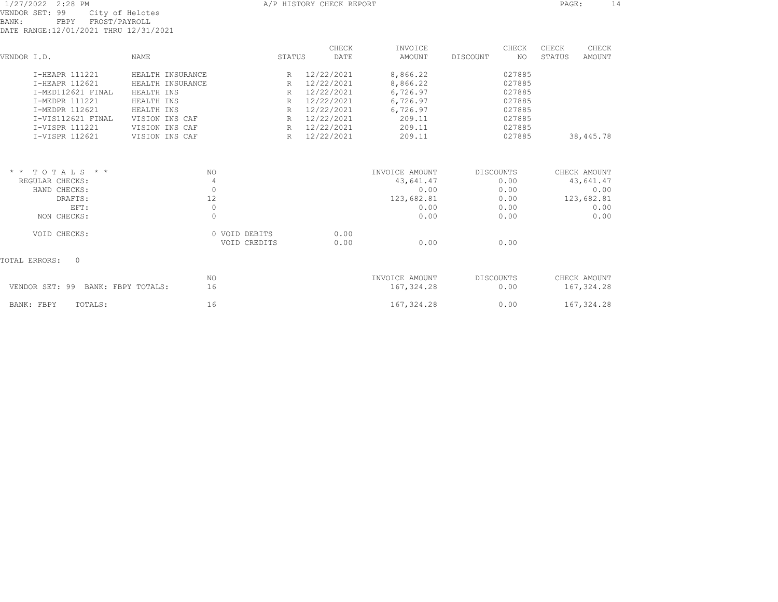| 1/27/2022 2:28 PM |      |  |                                       |  |
|-------------------|------|--|---------------------------------------|--|
| VENDOR SET: 99    |      |  | City of Helotes                       |  |
| BANK:             | FRPY |  | FROST/PAYROLL                         |  |
|                   |      |  | DATE RANGE:12/01/2021 THRU 12/31/2021 |  |

| VENDOR I.D. |                                      | <b>NAME</b>      |               | STATUS       | CHECK<br>DATE | INVOICE<br>AMOUNT | CHECK<br>DISCOUNT<br>NO. | CHECK<br>STATUS | CHECK<br>AMOUNT |
|-------------|--------------------------------------|------------------|---------------|--------------|---------------|-------------------|--------------------------|-----------------|-----------------|
|             | I-HEAPR 111221                       | HEALTH INSURANCE |               | R            | 12/22/2021    | 8,866.22          | 027885                   |                 |                 |
|             | I-HEAPR 112621                       | HEALTH INSURANCE |               | R            | 12/22/2021    | 8,866.22          | 027885                   |                 |                 |
|             | T-MED112621 FINAL                    | HEALTH INS       |               | R            | 12/22/2021    | 6,726.97          | 027885                   |                 |                 |
|             | I-MEDPR 111221                       | HEALTH INS       |               | R            | 12/22/2021    | 6,726.97          | 027885                   |                 |                 |
|             | I-MEDPR 112621                       | HEALTH INS       |               | $\mathbb{R}$ | 12/22/2021    | 6,726.97          | 027885                   |                 |                 |
|             | I-VIS112621 FINAL                    | VISION INS CAF   |               | R            | 12/22/2021    | 209.11            | 027885                   |                 |                 |
|             | I-VISPR 111221                       | VISION INS CAF   |               | R            | 12/22/2021    | 209.11            | 027885                   |                 |                 |
|             | I-VISPR 112621                       | VISION INS CAF   |               | R            | 12/22/2021    | 209.11            | 027885                   |                 | 38,445.78       |
|             | $*$ * TOTALS * *                     |                  | NO.           |              |               | INVOICE AMOUNT    | <b>DISCOUNTS</b>         |                 | CHECK AMOUNT    |
|             | REGULAR CHECKS:                      |                  | 4             |              |               | 43,641.47         | 0.00                     |                 | 43,641.47       |
|             | HAND CHECKS:                         |                  | $\Omega$      |              |               | 0.00              | 0.00                     |                 | 0.00            |
|             | DRAFTS:                              |                  | 12            |              |               | 123,682.81        | 0.00                     |                 | 123,682.81      |
|             | EFT:                                 |                  | $\circ$       |              |               | 0.00              | 0.00                     |                 | 0.00            |
|             | NON CHECKS:                          |                  | $\circ$       |              |               | 0.00              | 0.00                     |                 | 0.00            |
|             | VOID CHECKS:                         |                  | 0 VOID DEBITS |              | 0.00          |                   |                          |                 |                 |
|             |                                      |                  | VOID CREDITS  |              | 0.00          | 0.00              | 0.00                     |                 |                 |
|             | TOTAL ERRORS:<br>$\mathbf{0}$        |                  |               |              |               |                   |                          |                 |                 |
|             |                                      |                  | NO.           |              |               | INVOICE AMOUNT    | <b>DISCOUNTS</b>         |                 | CHECK AMOUNT    |
|             | VENDOR SET: 99<br>BANK: FBPY TOTALS: |                  | 16            |              |               | 167, 324.28       | 0.00                     |                 | 167,324.28      |
|             | BANK: FBPY<br>TOTALS:                |                  | 16            |              |               | 167, 324.28       | 0.00                     |                 | 167, 324.28     |

A/P HISTORY CHECK REPORT **PAGE:** 14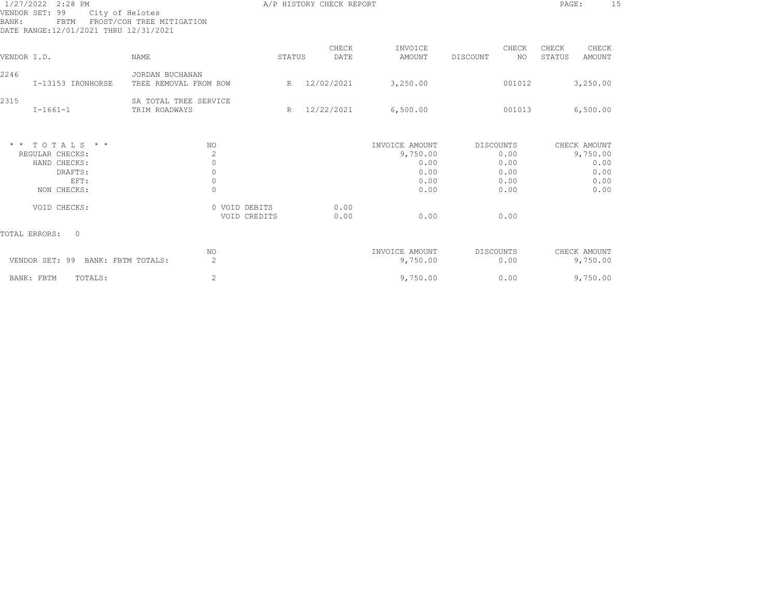| 1/27/2022 2:28 PM<br>VENDOR SET: 99<br>City of Helotes<br>FROST/COH TREE MITIGATION<br>BANK:<br>FBTM<br>DATE RANGE:12/01/2021 THRU 12/31/2021 |                                 |                                          |                               | A/P HISTORY CHECK REPORT |               |                            |                  |              |                 |                          |  |
|-----------------------------------------------------------------------------------------------------------------------------------------------|---------------------------------|------------------------------------------|-------------------------------|--------------------------|---------------|----------------------------|------------------|--------------|-----------------|--------------------------|--|
| VENDOR I.D.                                                                                                                                   |                                 | <b>NAME</b>                              |                               | STATUS                   | CHECK<br>DATE | INVOICE<br>AMOUNT          | DISCOUNT         | CHECK<br>NO. | CHECK<br>STATUS | CHECK<br>AMOUNT          |  |
|                                                                                                                                               |                                 |                                          |                               |                          |               |                            |                  |              |                 |                          |  |
| 2246                                                                                                                                          | I-13153 IRONHORSE               | JORDAN BUCHANAN<br>TREE REMOVAL FROM ROW |                               | R                        | 12/02/2021    | 3,250.00                   |                  | 001012       |                 | 3,250.00                 |  |
| 2315                                                                                                                                          | $I - 1661 - 1$                  | SA TOTAL TREE SERVICE<br>TRIM ROADWAYS   |                               | R                        | 12/22/2021    | 6,500.00                   |                  | 001013       |                 | 6,500.00                 |  |
|                                                                                                                                               | $*$ * TOTALS * *                | ΝO                                       |                               |                          |               | INVOICE AMOUNT             | <b>DISCOUNTS</b> |              |                 | CHECK AMOUNT             |  |
|                                                                                                                                               | REGULAR CHECKS:<br>HAND CHECKS: | 2<br>$\circ$                             |                               |                          |               | 9,750.00<br>0.00           |                  | 0.00<br>0.00 |                 | 9,750.00<br>0.00         |  |
|                                                                                                                                               | DRAFTS:                         | $\circ$                                  |                               |                          |               | 0.00                       |                  | 0.00         |                 | 0.00                     |  |
|                                                                                                                                               | EFT:                            | $\circ$                                  |                               |                          |               | 0.00                       |                  | 0.00         |                 | 0.00                     |  |
|                                                                                                                                               | NON CHECKS:                     | $\Omega$                                 |                               |                          |               | 0.00                       |                  | 0.00         |                 | 0.00                     |  |
|                                                                                                                                               | VOID CHECKS:                    |                                          | 0 VOID DEBITS<br>VOID CREDITS |                          | 0.00<br>0.00  | 0.00                       |                  | 0.00         |                 |                          |  |
| TOTAL ERRORS:                                                                                                                                 | $\Omega$                        |                                          |                               |                          |               |                            |                  |              |                 |                          |  |
|                                                                                                                                               | VENDOR SET: 99                  | NO<br>2<br>BANK: FBTM TOTALS:            |                               |                          |               | INVOICE AMOUNT<br>9,750.00 | <b>DISCOUNTS</b> | 0.00         |                 | CHECK AMOUNT<br>9,750.00 |  |
| BANK: FBTM                                                                                                                                    | TOTALS:                         | 2                                        |                               |                          |               | 9,750.00                   |                  | 0.00         |                 | 9,750.00                 |  |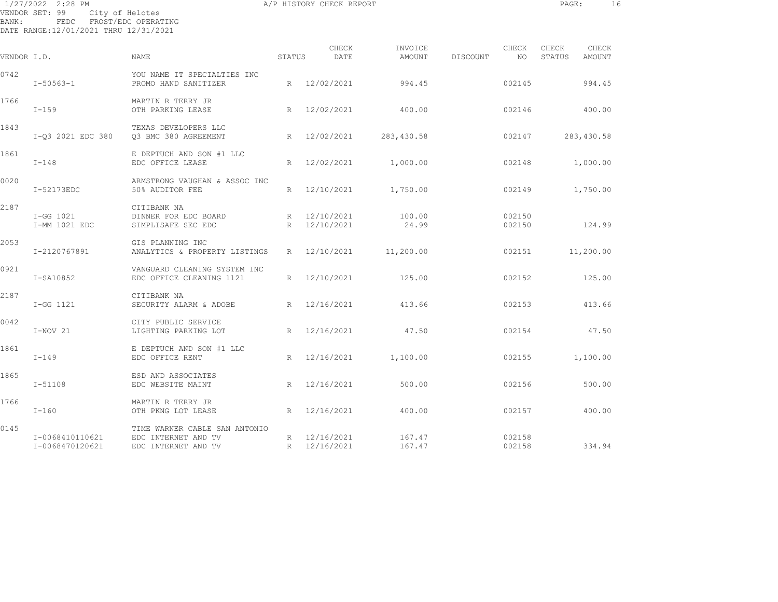| BANK:       | 1/27/2022 2:28 PM<br>VENDOR SET: 99<br>City of Helotes<br>FEDC | FROST/EDC OPERATING                                       |                 | A/P HISTORY CHECK REPORT     |                   |          |                  | PAGE:                  |                 | 16 |
|-------------|----------------------------------------------------------------|-----------------------------------------------------------|-----------------|------------------------------|-------------------|----------|------------------|------------------------|-----------------|----|
|             | DATE RANGE:12/01/2021 THRU 12/31/2021                          |                                                           |                 |                              |                   |          |                  |                        |                 |    |
| VENDOR I.D. |                                                                | NAME                                                      | STATUS          | CHECK<br>DATE                | INVOICE<br>AMOUNT | DISCOUNT | CHECK<br>NO      | CHECK<br><b>STATUS</b> | CHECK<br>AMOUNT |    |
| 0742        | $I - 50563 - 1$                                                | YOU NAME IT SPECIALTIES INC<br>PROMO HAND SANITIZER       |                 | R 12/02/2021                 | 994.45            |          | 002145           |                        | 994.45          |    |
| 1766        | $I-159$                                                        | MARTIN R TERRY JR<br>OTH PARKING LEASE                    | R               | 12/02/2021                   | 400.00            |          | 002146           |                        | 400.00          |    |
| 1843        | I-03 2021 EDC 380                                              | TEXAS DEVELOPERS LLC<br>03 BMC 380 AGREEMENT              |                 | R 12/02/2021                 | 283,430.58        |          | 002147           |                        | 283,430.58      |    |
| 1861        | $I-148$                                                        | E DEPTUCH AND SON #1 LLC<br>EDC OFFICE LEASE              | R               | 12/02/2021                   | 1,000.00          |          | 002148           |                        | 1,000.00        |    |
| 0020        | I-52173EDC                                                     | ARMSTRONG VAUGHAN & ASSOC INC<br>50% AUDITOR FEE          | R               | 12/10/2021                   | 1,750.00          |          | 002149           |                        | 1,750.00        |    |
| 2187        | I-GG 1021<br>I-MM 1021 EDC                                     | CITIBANK NA<br>DINNER FOR EDC BOARD<br>SIMPLISAFE SEC EDC |                 | R 12/10/2021<br>R 12/10/2021 | 100.00<br>24.99   |          | 002150<br>002150 |                        | 124.99          |    |
| 2053        | I-2120767891                                                   | GIS PLANNING INC<br>ANALYTICS & PROPERTY LISTINGS         | $R_{\perp}$     | 12/10/2021                   | 11,200.00         |          | 002151           |                        | 11,200.00       |    |
| 0921        | I-SA10852                                                      | VANGUARD CLEANING SYSTEM INC<br>EDC OFFICE CLEANING 1121  | R               | 12/10/2021                   | 125.00            |          | 002152           |                        | 125.00          |    |
| 2187        | I-GG 1121                                                      | CITIBANK NA<br>SECURITY ALARM & ADOBE                     | R               | 12/16/2021                   | 413.66            |          | 002153           |                        | 413.66          |    |
| 0042        | I-NOV 21                                                       | CITY PUBLIC SERVICE<br>LIGHTING PARKING LOT               | $R_{\parallel}$ | 12/16/2021                   | 47.50             |          | 002154           |                        | 47.50           |    |
| 1861        | I-149                                                          | E DEPTUCH AND SON #1 LLC<br>EDC OFFICE RENT               | R               | 12/16/2021                   | 1,100.00          |          | 002155           |                        | 1,100.00        |    |
| 1865        | $I - 51108$                                                    | ESD AND ASSOCIATES<br>EDC WEBSITE MAINT                   |                 | R 12/16/2021                 | 500.00            |          | 002156           |                        | 500.00          |    |

I-160 OTH PKNG LOT LEASE R 12/16/2021 400.00 002157 400.00

I-0068470120621 EDC INTERNET AND TV R 12/16/2021 167.47 002158 334.94

0145 TIME WARNER CABLE SAN ANTONIO I-0068410110621 EDC INTERNET AND TV R 12/16/2021 167.47 002158

1766 MARTIN R TERRY JR<br>1760 T-160 OTH PKNG LOT LEASE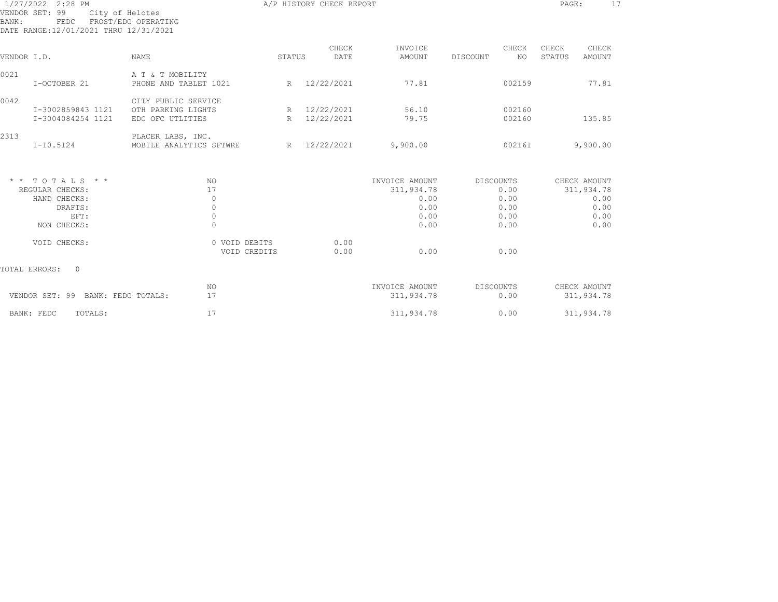| 1/27/2022 2:28 PM<br>VENDOR SET: 99<br>BANK: | FEDC FROST/EDC OPERATING<br>DATE RANGE:12/01/2021 THRU 12/31/2021 | City of Helotes                              |                               | A/P HISTORY CHECK REPORT |                |                  | PAGE:<br>17      |  |
|----------------------------------------------|-------------------------------------------------------------------|----------------------------------------------|-------------------------------|--------------------------|----------------|------------------|------------------|--|
|                                              |                                                                   |                                              |                               | CHECK                    | INVOICE        | CHECK            | CHECK<br>CHECK   |  |
| VENDOR I.D.                                  |                                                                   | <b>NAME</b>                                  | STATUS                        | DATE                     | AMOUNT         | DISCOUNT<br>NO   | STATUS<br>AMOUNT |  |
| 0021                                         |                                                                   | A T & T MOBILITY                             |                               |                          |                |                  |                  |  |
|                                              | I-OCTOBER 21                                                      | PHONE AND TABLET 1021                        |                               | R 12/22/2021             | 77.81          | 002159           | 77.81            |  |
| 0042                                         |                                                                   | CITY PUBLIC SERVICE                          |                               |                          |                |                  |                  |  |
|                                              | I-3002859843 1121                                                 | OTH PARKING LIGHTS                           |                               | R 12/22/2021             | 56.10          | 002160           |                  |  |
|                                              | I-3004084254 1121                                                 | EDC OFC UTLITIES                             |                               | R 12/22/2021             | 79.75          | 002160           | 135.85           |  |
| 2313<br>$I-10.5124$                          |                                                                   | PLACER LABS, INC.<br>MOBILE ANALYTICS SFTWRE | R                             | 12/22/2021               | 9,900.00       | 002161           | 9,900.00         |  |
| $*$ * TOTALS * *                             |                                                                   | <b>NO</b>                                    |                               |                          | INVOICE AMOUNT | DISCOUNTS        | CHECK AMOUNT     |  |
| REGULAR CHECKS:                              |                                                                   | 17                                           |                               |                          | 311,934.78     | 0.00             | 311,934.78       |  |
|                                              | HAND CHECKS:                                                      | $\circ$                                      |                               |                          | 0.00           | 0.00             | 0.00             |  |
|                                              | DRAFTS:                                                           | $\circ$                                      |                               |                          | 0.00           | 0.00             | 0.00             |  |
|                                              | EFT:                                                              | $\mathbb O$                                  |                               |                          | 0.00           | 0.00             | 0.00             |  |
|                                              | NON CHECKS:                                                       | $\Omega$                                     |                               |                          | 0.00           | 0.00             | 0.00             |  |
|                                              | VOID CHECKS:                                                      |                                              | 0 VOID DEBITS<br>VOID CREDITS | 0.00<br>0.00             | 0.00           | 0.00             |                  |  |
| TOTAL ERRORS:                                | $\overline{0}$                                                    |                                              |                               |                          |                |                  |                  |  |
|                                              |                                                                   | NO                                           |                               |                          | INVOICE AMOUNT | <b>DISCOUNTS</b> | CHECK AMOUNT     |  |
|                                              | VENDOR SET: 99 BANK: FEDC TOTALS:                                 | 17                                           |                               |                          | 311,934.78     | 0.00             | 311,934.78       |  |
| BANK: FEDC                                   | TOTALS:                                                           | 17                                           |                               |                          | 311,934.78     | 0.00             | 311,934.78       |  |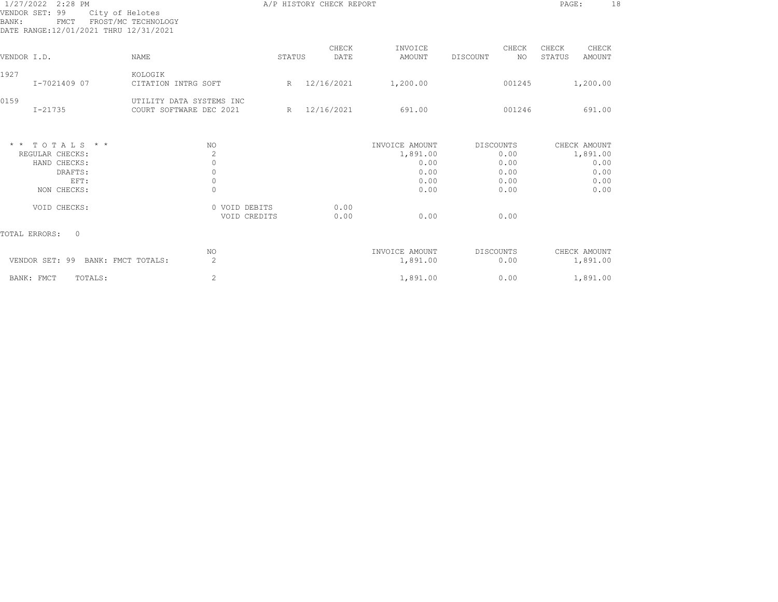| 1/27/2022 2:28 PM<br>99<br>VENDOR SET:<br>City of Helotes<br>BANK:<br><b>FMCT</b><br>DATE RANGE:12/01/2021 THRU 12/31/2021 | FROST/MC TECHNOLOGY                                 | A/P HISTORY CHECK REPORT | PAGE:<br>18   |                            |                          |                                    |  |
|----------------------------------------------------------------------------------------------------------------------------|-----------------------------------------------------|--------------------------|---------------|----------------------------|--------------------------|------------------------------------|--|
| VENDOR I.D.                                                                                                                | <b>NAME</b>                                         | STATUS                   | CHECK<br>DATE | INVOICE<br>AMOUNT          | CHECK<br>DISCOUNT<br>NO. | CHECK<br>CHECK<br>STATUS<br>AMOUNT |  |
|                                                                                                                            |                                                     |                          |               |                            |                          |                                    |  |
| 1927<br>I-7021409 07                                                                                                       | KOLOGIK<br>CITATION INTRG SOFT                      | R                        | 12/16/2021    | 1,200.00                   | 001245                   | 1,200.00                           |  |
| 0159<br>I-21735                                                                                                            | UTILITY DATA SYSTEMS INC<br>COURT SOFTWARE DEC 2021 | R                        | 12/16/2021    | 691.00                     | 001246                   | 691.00                             |  |
| $*$ * TOTALS * *                                                                                                           | NO.                                                 |                          |               | INVOICE AMOUNT             | DISCOUNTS                | CHECK AMOUNT                       |  |
| REGULAR CHECKS:                                                                                                            | 2                                                   |                          |               | 1,891.00                   | 0.00                     | 1,891.00                           |  |
| HAND CHECKS:                                                                                                               | $\circ$                                             |                          |               | 0.00                       | 0.00                     | 0.00                               |  |
| DRAFTS:<br>EFT:                                                                                                            | $\circ$<br>$\mathbf 0$                              |                          |               | 0.00<br>0.00               | 0.00<br>0.00             | 0.00<br>0.00                       |  |
| NON CHECKS:                                                                                                                | $\Omega$                                            |                          |               | 0.00                       | 0.00                     | 0.00                               |  |
| VOID CHECKS:                                                                                                               | 0 VOID DEBITS<br>VOID CREDITS                       |                          | 0.00<br>0.00  | 0.00                       | 0.00                     |                                    |  |
| TOTAL ERRORS:<br>$\Omega$                                                                                                  |                                                     |                          |               |                            |                          |                                    |  |
| VENDOR SET: 99<br>BANK: FMCT TOTALS:                                                                                       | NO<br>2                                             |                          |               | INVOICE AMOUNT<br>1,891.00 | <b>DISCOUNTS</b><br>0.00 | CHECK AMOUNT<br>1,891.00           |  |
| BANK: FMCT<br>TOTALS:                                                                                                      | 2                                                   |                          |               | 1,891.00                   | 0.00                     | 1,891.00                           |  |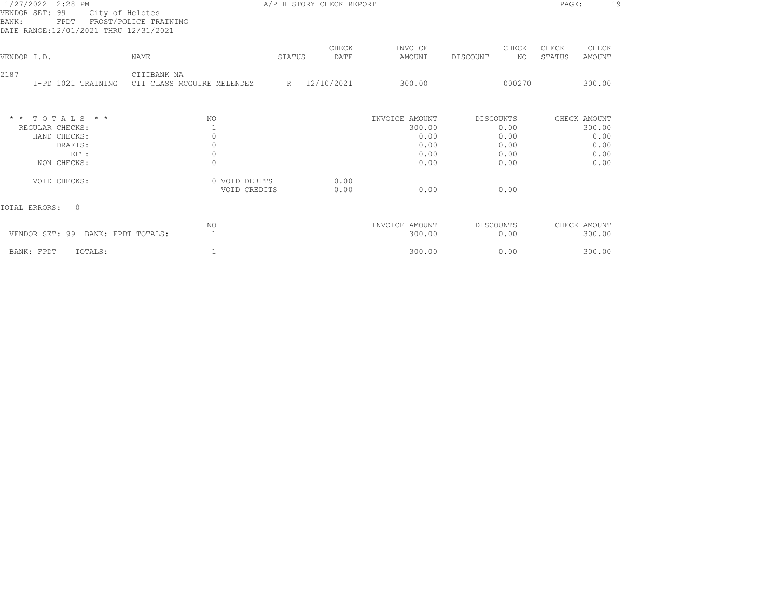| 1/27/2022 2:28 PM<br>VENDOR SET: 99<br>City of Helotes<br>FROST/POLICE TRAINING<br>BANK:<br>FPDT<br>DATE RANGE:12/01/2021 THRU 12/31/2021 |                                           | A/P HISTORY CHECK REPORT |               |                                                  |                                                  |                                                |  |  |
|-------------------------------------------------------------------------------------------------------------------------------------------|-------------------------------------------|--------------------------|---------------|--------------------------------------------------|--------------------------------------------------|------------------------------------------------|--|--|
| VENDOR I.D.                                                                                                                               | NAME                                      | STATUS                   | CHECK<br>DATE | INVOICE<br>AMOUNT                                | CHECK<br>DISCOUNT<br>NO.                         | CHECK<br>CHECK<br>STATUS<br>AMOUNT             |  |  |
| 2187<br>I-PD 1021 TRAINING                                                                                                                | CITIBANK NA<br>CIT CLASS MCGUIRE MELENDEZ |                          | R 12/10/2021  | 300.00                                           | 000270                                           | 300.00                                         |  |  |
| $*$ * TOTALS * *<br>REGULAR CHECKS:<br>HAND CHECKS:<br>DRAFTS:<br>EFT:                                                                    | NO<br>$\circ$<br>$\mathbf 0$<br>$\circ$   |                          |               | INVOICE AMOUNT<br>300.00<br>0.00<br>0.00<br>0.00 | <b>DISCOUNTS</b><br>0.00<br>0.00<br>0.00<br>0.00 | CHECK AMOUNT<br>300.00<br>0.00<br>0.00<br>0.00 |  |  |
| NON CHECKS:<br>VOID CHECKS:                                                                                                               | $\circ$<br>0 VOID DEBITS<br>VOID CREDITS  |                          | 0.00<br>0.00  | 0.00<br>0.00                                     | 0.00<br>0.00                                     | 0.00                                           |  |  |
| TOTAL ERRORS:<br>$\Omega$                                                                                                                 |                                           |                          |               |                                                  |                                                  |                                                |  |  |
| VENDOR SET: 99<br>BANK: FPDT TOTALS:                                                                                                      | NO<br>$\overline{1}$                      |                          |               | INVOICE AMOUNT<br>300.00                         | DISCOUNTS<br>0.00                                | CHECK AMOUNT<br>300.00                         |  |  |
| BANK: FPDT<br>TOTALS:                                                                                                                     |                                           |                          |               | 300.00                                           | 0.00                                             | 300.00                                         |  |  |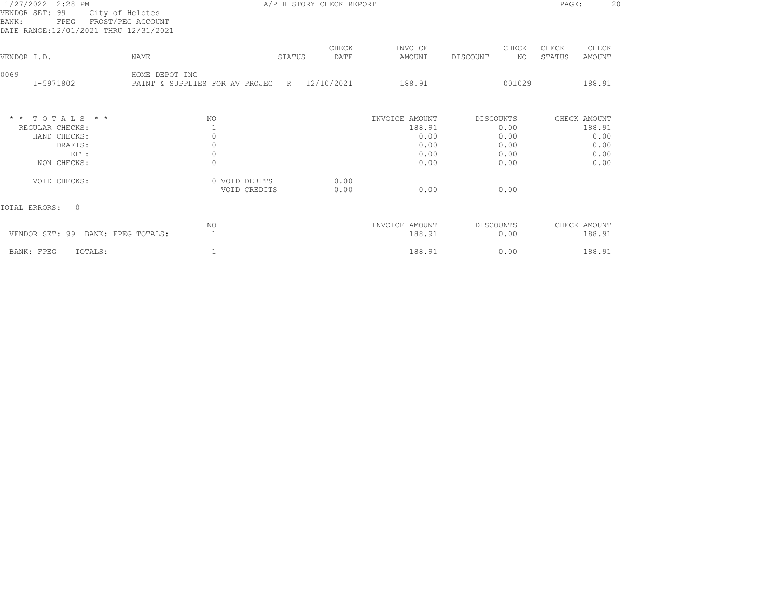| 1/27/2022 2:28 PM<br>VENDOR SET: 99<br>City of Helotes<br>FROST/PEG ACCOUNT<br>BANK:<br>FPEG<br>DATE RANGE:12/01/2021 THRU 12/31/2021 |                                                               | A/P HISTORY CHECK REPORT |               |                          |                          | 2 <sup>c</sup><br>PAGE:            |
|---------------------------------------------------------------------------------------------------------------------------------------|---------------------------------------------------------------|--------------------------|---------------|--------------------------|--------------------------|------------------------------------|
| VENDOR I.D.                                                                                                                           | <b>NAME</b>                                                   | STATUS                   | CHECK<br>DATE | INVOICE<br>AMOUNT        | CHECK<br>NO.<br>DISCOUNT | CHECK<br>CHECK<br>STATUS<br>AMOUNT |
|                                                                                                                                       |                                                               |                          |               |                          |                          |                                    |
| 0069<br>I-5971802                                                                                                                     | HOME DEPOT INC<br>PAINT & SUPPLIES FOR AV PROJEC R 12/10/2021 |                          |               | 188.91                   | 001029                   | 188.91                             |
| $*$ * TOTALS * *                                                                                                                      | NO.                                                           |                          |               | INVOICE AMOUNT           | DISCOUNTS                | CHECK AMOUNT                       |
| REGULAR CHECKS:                                                                                                                       |                                                               |                          |               | 188.91                   | 0.00                     | 188.91                             |
| HAND CHECKS:                                                                                                                          | $\circ$                                                       |                          |               | 0.00                     | 0.00                     | 0.00                               |
| DRAFTS:<br>EFT:                                                                                                                       | 0<br>$\circ$                                                  |                          |               | 0.00<br>0.00             | 0.00<br>0.00             | 0.00<br>0.00                       |
| NON CHECKS:                                                                                                                           | $\mathbf 0$                                                   |                          |               | 0.00                     | 0.00                     | 0.00                               |
| VOID CHECKS:                                                                                                                          | 0 VOID DEBITS<br>VOID CREDITS                                 |                          | 0.00<br>0.00  | 0.00                     | 0.00                     |                                    |
| TOTAL ERRORS:<br>$\Omega$                                                                                                             |                                                               |                          |               |                          |                          |                                    |
| VENDOR SET: 99<br>BANK: FPEG TOTALS:                                                                                                  | NO<br>$\mathbf{1}$                                            |                          |               | INVOICE AMOUNT<br>188.91 | DISCOUNTS<br>0.00        | CHECK AMOUNT<br>188.91             |
| TOTALS:<br>BANK: FPEG                                                                                                                 | 1                                                             |                          |               | 188.91                   | 0.00                     | 188.91                             |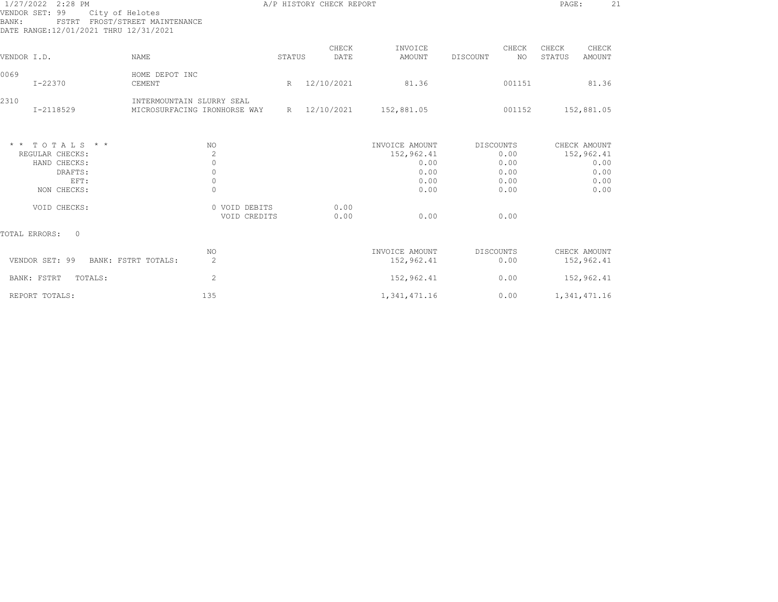| 1/27/2022 2:28 PM<br>VENDOR SET: 99<br>City of Helotes<br>BANK:<br>DATE RANGE:12/01/2021 THRU 12/31/2021 | FSTRT FROST/STREET MAINTENANCE                                     |        | A/P HISTORY CHECK REPORT |                                                              |          |                                                   | PAGE:           | 21                                                         |  |
|----------------------------------------------------------------------------------------------------------|--------------------------------------------------------------------|--------|--------------------------|--------------------------------------------------------------|----------|---------------------------------------------------|-----------------|------------------------------------------------------------|--|
| VENDOR I.D.                                                                                              | <b>NAME</b>                                                        | STATUS | CHECK<br>DATE            | INVOICE<br>AMOUNT                                            | DISCOUNT | CHECK<br>NO                                       | CHECK<br>STATUS | CHECK<br><b>AMOUNT</b>                                     |  |
| 0069<br>$I - 22370$                                                                                      | HOME DEPOT INC<br>CEMENT                                           | R      | 12/10/2021               | 81.36                                                        |          | 001151                                            |                 | 81.36                                                      |  |
| 2310<br>$I - 2118529$                                                                                    | INTERMOUNTAIN SLURRY SEAL<br>MICROSURFACING IRONHORSE WAY          |        | R 12/10/2021             | 152,881.05                                                   |          | 001152                                            |                 | 152,881.05                                                 |  |
| $*$ * TOTALS * *<br>REGULAR CHECKS:<br>HAND CHECKS:<br>DRAFTS:<br>EFT:<br>NON CHECKS:                    | NO.<br>$\overline{c}$<br>$\circ$<br>$\circ$<br>$\circ$<br>$\Omega$ |        |                          | INVOICE AMOUNT<br>152,962.41<br>0.00<br>0.00<br>0.00<br>0.00 |          | DISCOUNTS<br>0.00<br>0.00<br>0.00<br>0.00<br>0.00 |                 | CHECK AMOUNT<br>152,962.41<br>0.00<br>0.00<br>0.00<br>0.00 |  |
| VOID CHECKS:                                                                                             | 0 VOID DEBITS<br>VOID CREDITS                                      |        | 0.00<br>0.00             | 0.00                                                         |          | 0.00                                              |                 |                                                            |  |
| TOTAL ERRORS:<br>$\bigcirc$                                                                              |                                                                    |        |                          |                                                              |          |                                                   |                 |                                                            |  |
| VENDOR SET: 99                                                                                           | NO<br>$\mathbf{2}$<br>BANK: FSTRT TOTALS:                          |        |                          | INVOICE AMOUNT<br>152,962.41                                 |          | DISCOUNTS<br>0.00                                 |                 | CHECK AMOUNT<br>152,962.41                                 |  |
| BANK: FSTRT<br>TOTALS:                                                                                   | $\mathbf{2}^{\prime}$                                              |        |                          | 152,962.41                                                   |          | 0.00                                              |                 | 152,962.41                                                 |  |
| REPORT TOTALS:                                                                                           | 135                                                                |        |                          | 1,341,471.16                                                 |          | 0.00                                              |                 | 1,341,471.16                                               |  |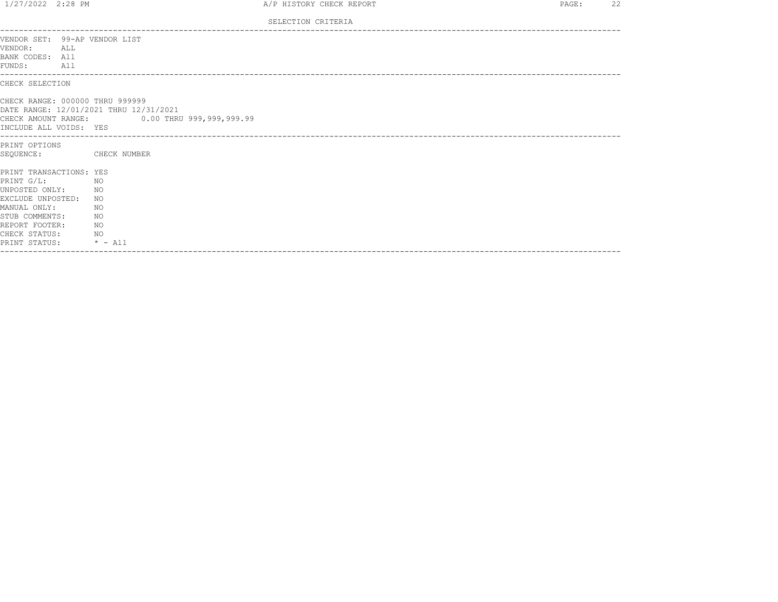| 1/27/2022 2:28 PM                                                                                                                                                                                                      |                                              | A/P HISTORY CHECK REPORT | PAGE: | 22 |
|------------------------------------------------------------------------------------------------------------------------------------------------------------------------------------------------------------------------|----------------------------------------------|--------------------------|-------|----|
|                                                                                                                                                                                                                        |                                              | SELECTION CRITERIA       |       |    |
| VENDOR SET: 99-AP VENDOR LIST<br>VENDOR:<br>ALL<br>BANK CODES: All<br>FUNDS: All                                                                                                                                       |                                              |                          |       |    |
| CHECK SELECTION                                                                                                                                                                                                        |                                              |                          |       |    |
| CHECK RANGE: 000000 THRU 999999<br>DATE RANGE: 12/01/2021 THRU 12/31/2021<br>INCLUDE ALL VOIDS: YES                                                                                                                    | CHECK AMOUNT RANGE: 0.00 THRU 999,999,999.99 |                          |       |    |
| PRINT OPTIONS<br>SEQUENCE:                                                                                                                                                                                             | CHECK NUMBER                                 |                          |       |    |
| PRINT TRANSACTIONS: YES<br>$PRTNT$ $G/T$ .<br>NO <sub>N</sub><br>UNPOSTED ONLY: NO<br>EXCLUDE UNPOSTED:<br>MANUAL ONLY:<br>STUB COMMENTS:<br>NO.<br>REPORT FOOTER:<br>NO.<br>CHECK STATUS: NO<br>PRINT STATUS: * - All | NO.<br>NO.                                   |                          |       |    |
|                                                                                                                                                                                                                        |                                              |                          |       |    |